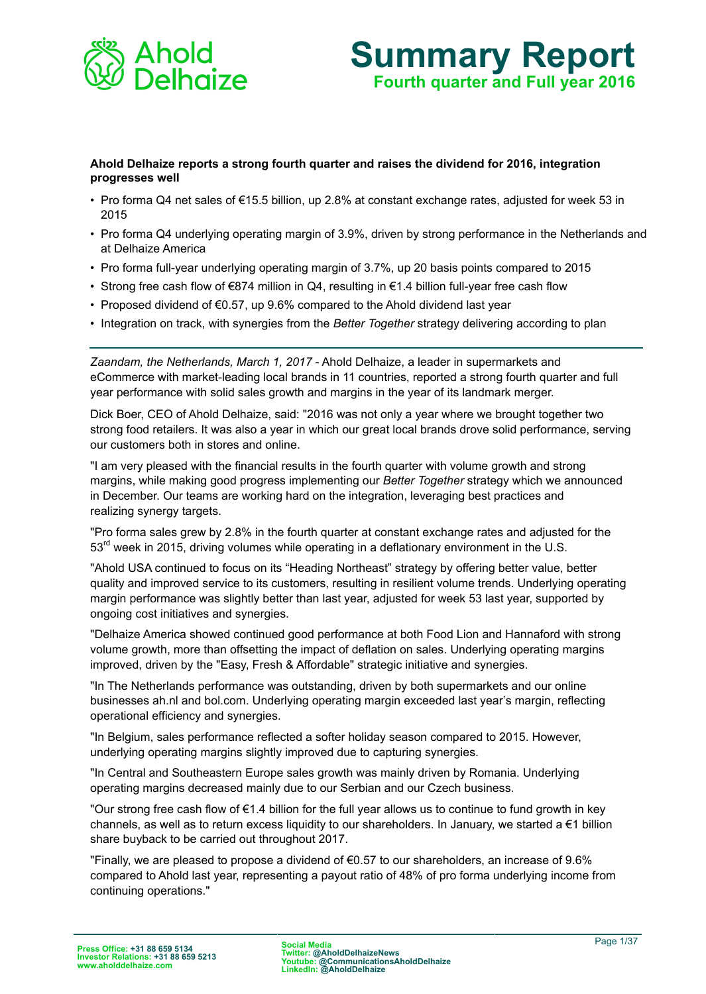

# **Summary Report Fourth quarter and Full year 2016**

## **Ahold Delhaize reports a strong fourth quarter and raises the dividend for 2016, integration progresses well**

- Pro forma Q4 net sales of €15.5 billion, up 2.8% at constant exchange rates, adjusted for week 53 in 2015
- Pro forma Q4 underlying operating margin of 3.9%, driven by strong performance in the Netherlands and at Delhaize America
- Pro forma full-year underlying operating margin of 3.7%, up 20 basis points compared to 2015
- Strong free cash flow of €874 million in Q4, resulting in €1.4 billion full-year free cash flow
- Proposed dividend of €0.57, up 9.6% compared to the Ahold dividend last year
- Integration on track, with synergies from the *Better Together* strategy delivering according to plan

*Zaandam, the Netherlands, March 1, 2017* - Ahold Delhaize, a leader in supermarkets and eCommerce with market-leading local brands in 11 countries, reported a strong fourth quarter and full year performance with solid sales growth and margins in the year of its landmark merger.

Dick Boer, CEO of Ahold Delhaize, said: "2016 was not only a year where we brought together two strong food retailers. It was also a year in which our great local brands drove solid performance, serving our customers both in stores and online.

"I am very pleased with the financial results in the fourth quarter with volume growth and strong margins, while making good progress implementing our *Better Together* strategy which we announced in December. Our teams are working hard on the integration, leveraging best practices and realizing synergy targets.

"Pro forma sales grew by 2.8% in the fourth quarter at constant exchange rates and adjusted for the 53<sup>rd</sup> week in 2015, driving volumes while operating in a deflationary environment in the U.S.

"Ahold USA continued to focus on its "Heading Northeast" strategy by offering better value, better quality and improved service to its customers, resulting in resilient volume trends. Underlying operating margin performance was slightly better than last year, adjusted for week 53 last year, supported by ongoing cost initiatives and synergies.

"Delhaize America showed continued good performance at both Food Lion and Hannaford with strong volume growth, more than offsetting the impact of deflation on sales. Underlying operating margins improved, driven by the "Easy, Fresh & Affordable" strategic initiative and synergies.

"In The Netherlands performance was outstanding, driven by both supermarkets and our online businesses ah.nl and bol.com. Underlying operating margin exceeded last year's margin, reflecting operational efficiency and synergies.

"In Belgium, sales performance reflected a softer holiday season compared to 2015. However, underlying operating margins slightly improved due to capturing synergies.

"In Central and Southeastern Europe sales growth was mainly driven by Romania. Underlying operating margins decreased mainly due to our Serbian and our Czech business.

"Our strong free cash flow of €1.4 billion for the full year allows us to continue to fund growth in key channels, as well as to return excess liquidity to our shareholders. In January, we started a €1 billion share buyback to be carried out throughout 2017.

"Finally, we are pleased to propose a dividend of  $60.57$  to our shareholders, an increase of 9.6% compared to Ahold last year, representing a payout ratio of 48% of pro forma underlying income from continuing operations."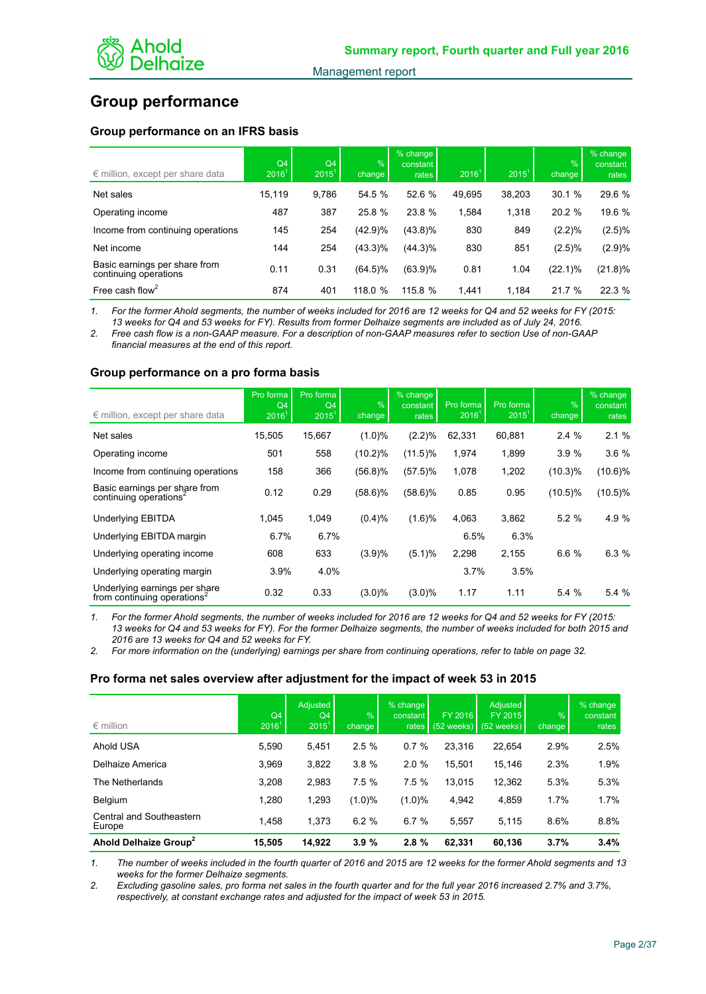

## **Group performance**

## **Group performance on an IFRS basis**

| $\epsilon$ million, except per share data              | Q4<br>2016 <sup>1</sup> | Q4<br>$2015^1$ | %<br>change | % change<br>constant<br><b>rates</b> | 2016 <sup>1</sup> | $2015^1$ | $\frac{1}{2}$<br>change | % change<br>constant<br>rates |
|--------------------------------------------------------|-------------------------|----------------|-------------|--------------------------------------|-------------------|----------|-------------------------|-------------------------------|
| Net sales                                              | 15.119                  | 9.786          | 54.5 %      | 52.6 %                               | 49.695            | 38,203   | 30.1%                   | 29.6 %                        |
| Operating income                                       | 487                     | 387            | 25.8 %      | 23.8 %                               | 1,584             | 1,318    | 20.2 %                  | 19.6 %                        |
| Income from continuing operations                      | 145                     | 254            | (42.9)%     | $(43.8)\%$                           | 830               | 849      | (2.2)%                  | (2.5)%                        |
| Net income                                             | 144                     | 254            | (43.3)%     | $(44.3)\%$                           | 830               | 851      | (2.5)%                  | (2.9)%                        |
| Basic earnings per share from<br>continuing operations | 0.11                    | 0.31           | (64.5)%     | $(63.9)\%$                           | 0.81              | 1.04     | $(22.1)\%$              | $(21.8)\%$                    |
| Free cash flow <sup>2</sup>                            | 874                     | 401            | 118.0 %     | 115.8%                               | 1.441             | 1.184    | 21.7 %                  | 22.3 %                        |

*1. For the former Ahold segments, the number of weeks included for 2016 are 12 weeks for Q4 and 52 weeks for FY (2015: 13 weeks for Q4 and 53 weeks for FY). Results from former Delhaize segments are included as of July 24, 2016.* 

*2. Free cash flow is a non-GAAP measure. For a description of non-GAAP measures refer to section Use of non-GAAP financial measures at the end of this report.*

## **Group performance on a pro forma basis**

| $\epsilon$ million, except per share data                                | Pro forma<br>Q <sub>4</sub><br>2016 <sup>1</sup> | Pro forma<br>Q4<br>$2015^1$ | $\%$<br>change | % change<br>constant<br>rates | Pro forma<br>2016 <sup>1</sup> | Pro forma<br>$2015^1$ | %<br>change | % change<br>constant<br>rates |
|--------------------------------------------------------------------------|--------------------------------------------------|-----------------------------|----------------|-------------------------------|--------------------------------|-----------------------|-------------|-------------------------------|
| Net sales                                                                | 15,505                                           | 15,667                      | $(1.0)\%$      | $(2.2)\%$                     | 62,331                         | 60,881                | 2.4%        | 2.1%                          |
| Operating income                                                         | 501                                              | 558                         | $(10.2)\%$     | $(11.5)\%$                    | 1,974                          | 1,899                 | 3.9%        | 3.6%                          |
| Income from continuing operations                                        | 158                                              | 366                         | $(56.8)\%$     | $(57.5)\%$                    | 1,078                          | 1,202                 | $(10.3)\%$  | $(10.6)\%$                    |
| Basic earnings per share from<br>continuing operations <sup>2</sup>      | 0.12                                             | 0.29                        | $(58.6)\%$     | $(58.6)\%$                    | 0.85                           | 0.95                  | $(10.5)\%$  | $(10.5)\%$                    |
| <b>Underlying EBITDA</b>                                                 | 1.045                                            | 1,049                       | (0.4)%         | (1.6)%                        | 4,063                          | 3,862                 | 5.2%        | 4.9 %                         |
| Underlying EBITDA margin                                                 | 6.7%                                             | 6.7%                        |                |                               | 6.5%                           | 6.3%                  |             |                               |
| Underlying operating income                                              | 608                                              | 633                         | (3.9)%         | (5.1)%                        | 2,298                          | 2,155                 | 6.6 %       | 6.3%                          |
| Underlying operating margin                                              | 3.9%                                             | 4.0%                        |                |                               | 3.7%                           | 3.5%                  |             |                               |
| Underlying earnings per share<br>from continuing operations <sup>2</sup> | 0.32                                             | 0.33                        | $(3.0)\%$      | $(3.0)\%$                     | 1.17                           | 1.11                  | 5.4 %       | 5.4 %                         |

*1. For the former Ahold segments, the number of weeks included for 2016 are 12 weeks for Q4 and 52 weeks for FY (2015: 13 weeks for Q4 and 53 weeks for FY). For the former Delhaize segments, the number of weeks included for both 2015 and 2016 are 13 weeks for Q4 and 52 weeks for FY.*

*2. For more information on the (underlying) earnings per share from continuing operations, refer to table on page 32.*

## **Pro forma net sales overview after adjustment for the impact of week 53 in 2015**

| $\epsilon$ million                 | Q <sub>4</sub><br>2016 <sup>1</sup> | <b>Adjusted</b><br>Q4<br>$2015^1$ | $\frac{9}{6}$<br>change | $%$ change<br>constant<br>rates I | FY 2016<br>$(52 \text{ weeks})$ $(52 \text{ weeks})$ | Adjusted<br>FY 2015 | $\frac{9}{6}$<br>change | % change<br>constant<br>rates |
|------------------------------------|-------------------------------------|-----------------------------------|-------------------------|-----------------------------------|------------------------------------------------------|---------------------|-------------------------|-------------------------------|
| Ahold USA                          | 5,590                               | 5,451                             | 2.5%                    | 0.7%                              | 23,316                                               | 22,654              | 2.9%                    | 2.5%                          |
| Delhaize America                   | 3,969                               | 3,822                             | 3.8%                    | 2.0%                              | 15,501                                               | 15,146              | 2.3%                    | 1.9%                          |
| The Netherlands                    | 3,208                               | 2,983                             | 7.5%                    | 7.5%                              | 13.015                                               | 12,362              | 5.3%                    | 5.3%                          |
| Belgium                            | 1,280                               | 1,293                             | $(1.0)\%$               | (1.0)%                            | 4,942                                                | 4,859               | 1.7%                    | 1.7%                          |
| Central and Southeastern<br>Europe | 1.458                               | 1,373                             | 6.2%                    | 6.7%                              | 5,557                                                | 5,115               | 8.6%                    | 8.8%                          |
| Ahold Delhaize Group <sup>2</sup>  | 15.505                              | 14.922                            | 3.9%                    | 2.8%                              | 62.331                                               | 60.136              | 3.7%                    | 3.4%                          |

*1. The number of weeks included in the fourth quarter of 2016 and 2015 are 12 weeks for the former Ahold segments and 13 weeks for the former Delhaize segments.*

*2. Excluding gasoline sales, pro forma net sales in the fourth quarter and for the full year 2016 increased 2.7% and 3.7%, respectively, at constant exchange rates and adjusted for the impact of week 53 in 2015.*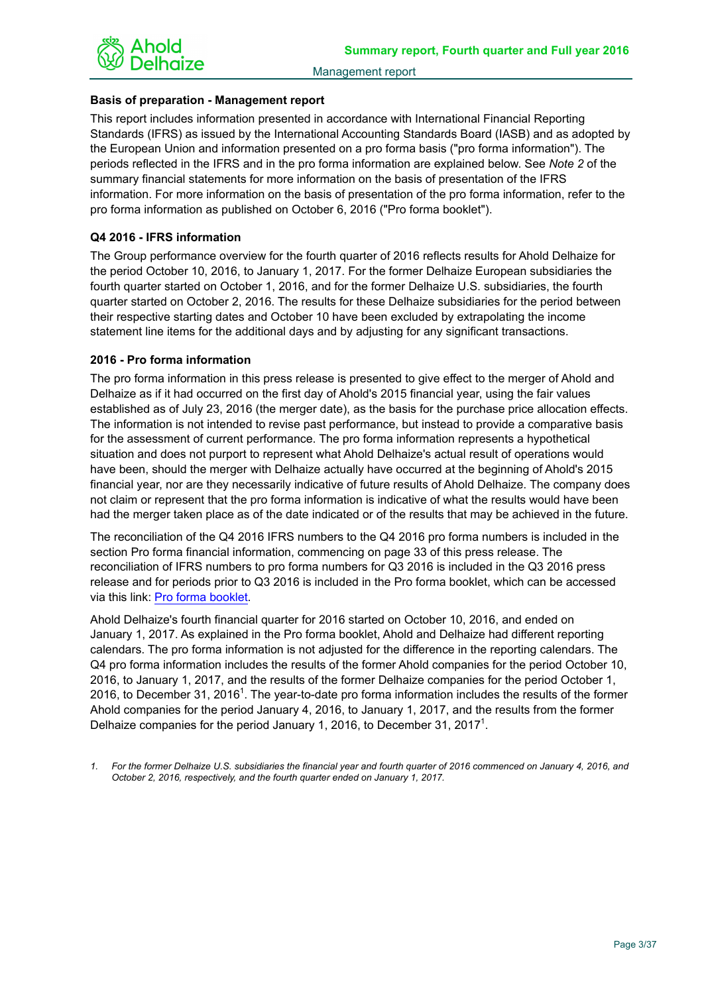

## **Basis of preparation - Management report**

This report includes information presented in accordance with International Financial Reporting Standards (IFRS) as issued by the International Accounting Standards Board (IASB) and as adopted by the European Union and information presented on a pro forma basis ("pro forma information"). The periods reflected in the IFRS and in the pro forma information are explained below. See *Note 2* of the summary financial statements for more information on the basis of presentation of the IFRS information. For more information on the basis of presentation of the pro forma information, refer to the pro forma information as published on October 6, 2016 ("Pro forma booklet").

## **Q4 2016 - IFRS information**

The Group performance overview for the fourth quarter of 2016 reflects results for Ahold Delhaize for the period October 10, 2016, to January 1, 2017. For the former Delhaize European subsidiaries the fourth quarter started on October 1, 2016, and for the former Delhaize U.S. subsidiaries, the fourth quarter started on October 2, 2016. The results for these Delhaize subsidiaries for the period between their respective starting dates and October 10 have been excluded by extrapolating the income statement line items for the additional days and by adjusting for any significant transactions.

## **2016 - Pro forma information**

The pro forma information in this press release is presented to give effect to the merger of Ahold and Delhaize as if it had occurred on the first day of Ahold's 2015 financial year, using the fair values established as of July 23, 2016 (the merger date), as the basis for the purchase price allocation effects. The information is not intended to revise past performance, but instead to provide a comparative basis for the assessment of current performance. The pro forma information represents a hypothetical situation and does not purport to represent what Ahold Delhaize's actual result of operations would have been, should the merger with Delhaize actually have occurred at the beginning of Ahold's 2015 financial year, nor are they necessarily indicative of future results of Ahold Delhaize. The company does not claim or represent that the pro forma information is indicative of what the results would have been had the merger taken place as of the date indicated or of the results that may be achieved in the future.

The reconciliation of the Q4 2016 IFRS numbers to the Q4 2016 pro forma numbers is included in the section Pro forma financial information, commencing on page 33 of this press release. The reconciliation of IFRS numbers to pro forma numbers for Q3 2016 is included in the Q3 2016 press release and for periods prior to Q3 2016 is included in the Pro forma booklet, which can be accessed via this link: [Pro forma booklet.](https://www.aholddelhaize.com/media/3028/161006_ahold-delhaize-pro-forma-information-2015-to-q2-2016-dated-6-oct-2016.pdf)

Ahold Delhaize's fourth financial quarter for 2016 started on October 10, 2016, and ended on January 1, 2017. As explained in the Pro forma booklet, Ahold and Delhaize had different reporting calendars. The pro forma information is not adjusted for the difference in the reporting calendars. The Q4 pro forma information includes the results of the former Ahold companies for the period October 10, 2016, to January 1, 2017, and the results of the former Delhaize companies for the period October 1, 2016, to December 31, 2016<sup>1</sup>. The year-to-date pro forma information includes the results of the former Ahold companies for the period January 4, 2016, to January 1, 2017, and the results from the former Delhaize companies for the period January 1, 2016, to December 31, 2017<sup>1</sup>.

*1. For the former Delhaize U.S. subsidiaries the financial year and fourth quarter of 2016 commenced on January 4, 2016, and October 2, 2016, respectively, and the fourth quarter ended on January 1, 2017.*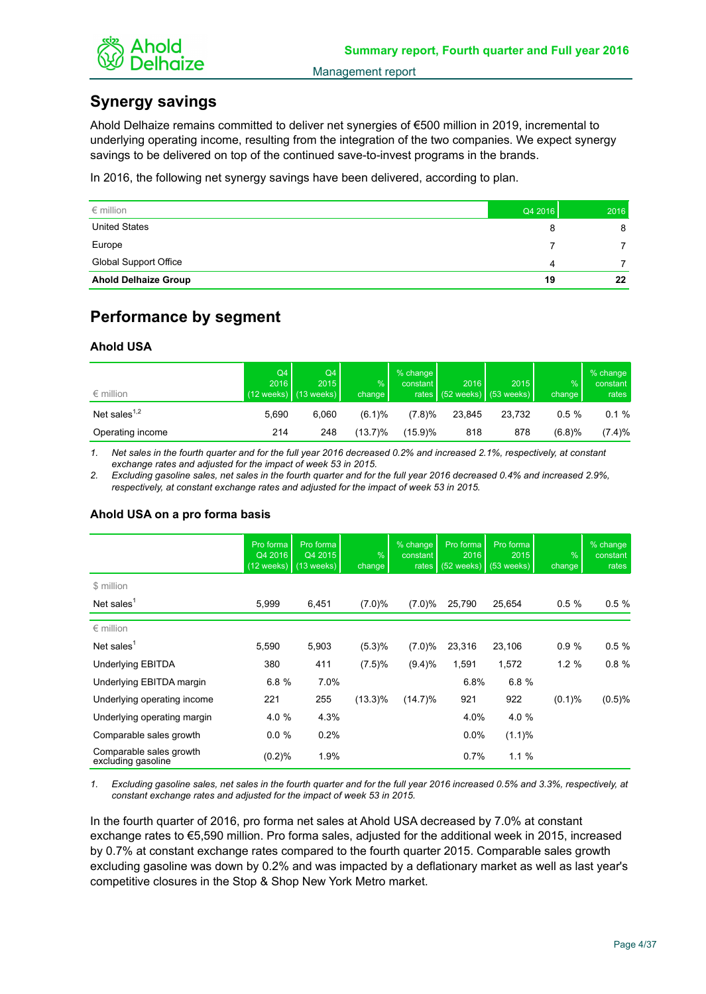

# **Synergy savings**

Ahold Delhaize remains committed to deliver net synergies of €500 million in 2019, incremental to underlying operating income, resulting from the integration of the two companies. We expect synergy savings to be delivered on top of the continued save-to-invest programs in the brands.

In 2016, the following net synergy savings have been delivered, according to plan.

| $\epsilon$ million           | Q4 2016 | 2016 |
|------------------------------|---------|------|
| <b>United States</b>         | 8       | 8    |
| Europe                       |         |      |
| <b>Global Support Office</b> | 4       |      |
| <b>Ahold Delhaize Group</b>  | 19      | 22   |

# **Performance by segment**

## **Ahold USA**

| $\epsilon$ million | Q4<br>2016 | Q4<br>2015<br>$(12 \text{ weeks})$ (13 weeks) | %<br>change | $%$ change<br>constant | 2016   | 2015<br>rates $(52 \text{ weeks})$ (53 weeks) | $\frac{9}{6}$<br>change | $%$ change<br>constant<br>rates $ $ |
|--------------------|------------|-----------------------------------------------|-------------|------------------------|--------|-----------------------------------------------|-------------------------|-------------------------------------|
| Net sales $1,2$    | 5.690      | 6.060                                         | (6.1)%      | (7.8)%                 | 23.845 | 23.732                                        | 0.5%                    | 0.1%                                |
| Operating income   | 214        | 248                                           | $(13.7)\%$  | (15.9)%                | 818    | 878                                           | (6.8)%                  | (7.4)%                              |

*1. Net sales in the fourth quarter and for the full year 2016 decreased 0.2% and increased 2.1%, respectively, at constant exchange rates and adjusted for the impact of week 53 in 2015.*

*2. Excluding gasoline sales, net sales in the fourth quarter and for the full year 2016 decreased 0.4% and increased 2.9%, respectively, at constant exchange rates and adjusted for the impact of week 53 in 2015.*

## **Ahold USA on a pro forma basis**

|                                               | Pro forma<br>Q4 2016<br>$(12 \text{ weeks})$ | Pro forma<br>Q4 2015<br>$(13$ weeks) | $\%$<br>change | % change<br>constant<br>rates | Pro forma<br>2016<br>$(52$ weeks) | Pro forma<br>2015<br>$(53$ weeks) | $\frac{9}{6}$<br>change | % change<br>constant<br>rates |
|-----------------------------------------------|----------------------------------------------|--------------------------------------|----------------|-------------------------------|-----------------------------------|-----------------------------------|-------------------------|-------------------------------|
| \$ million                                    |                                              |                                      |                |                               |                                   |                                   |                         |                               |
| Net sales $1$                                 | 5,999                                        | 6,451                                | (7.0)%         | (7.0)%                        | 25,790                            | 25,654                            | 0.5%                    | 0.5%                          |
| $\epsilon$ million                            |                                              |                                      |                |                               |                                   |                                   |                         |                               |
| Net sales $1$                                 | 5,590                                        | 5,903                                | (5.3)%         | (7.0)%                        | 23,316                            | 23,106                            | 0.9%                    | 0.5%                          |
| <b>Underlying EBITDA</b>                      | 380                                          | 411                                  | (7.5)%         | (9.4)%                        | 1,591                             | 1,572                             | 1.2%                    | 0.8%                          |
| Underlying EBITDA margin                      | 6.8%                                         | 7.0%                                 |                |                               | 6.8%                              | 6.8%                              |                         |                               |
| Underlying operating income                   | 221                                          | 255                                  | $(13.3)\%$     | $(14.7)\%$                    | 921                               | 922                               | $(0.1)$ %               | (0.5)%                        |
| Underlying operating margin                   | 4.0 %                                        | 4.3%                                 |                |                               | 4.0%                              | 4.0 %                             |                         |                               |
| Comparable sales growth                       | $0.0 \%$                                     | 0.2%                                 |                |                               | $0.0\%$                           | (1.1)%                            |                         |                               |
| Comparable sales growth<br>excluding gasoline | (0.2)%                                       | 1.9%                                 |                |                               | 0.7%                              | 1.1%                              |                         |                               |

*1. Excluding gasoline sales, net sales in the fourth quarter and for the full year 2016 increased 0.5% and 3.3%, respectively, at constant exchange rates and adjusted for the impact of week 53 in 2015.*

In the fourth quarter of 2016, pro forma net sales at Ahold USA decreased by 7.0% at constant exchange rates to €5,590 million. Pro forma sales, adjusted for the additional week in 2015, increased by 0.7% at constant exchange rates compared to the fourth quarter 2015. Comparable sales growth excluding gasoline was down by 0.2% and was impacted by a deflationary market as well as last year's competitive closures in the Stop & Shop New York Metro market.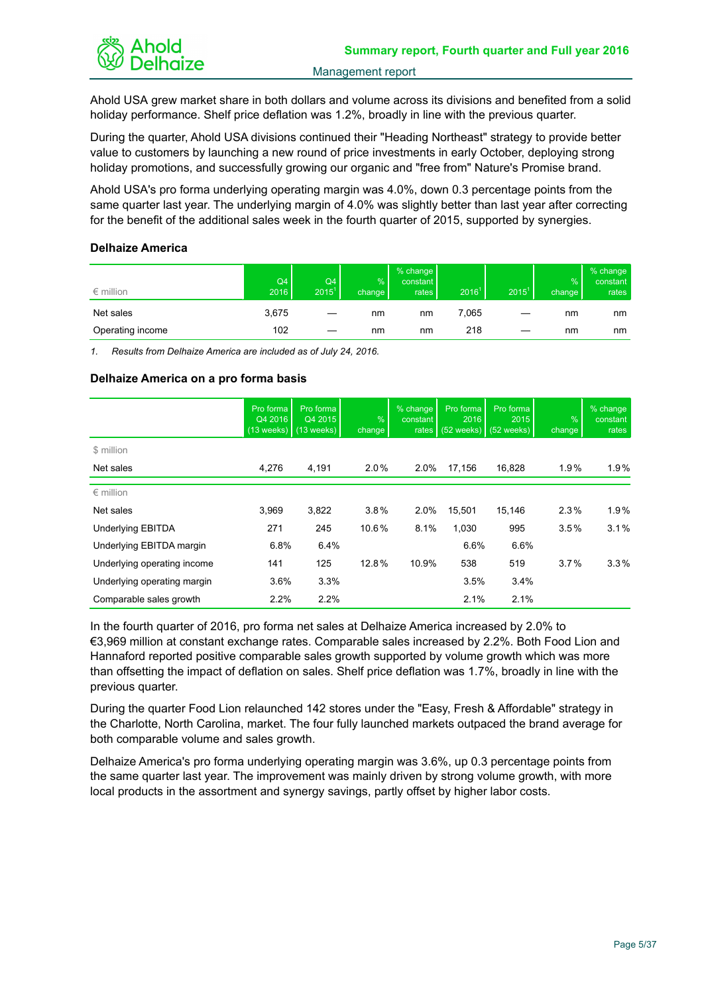

Ahold USA grew market share in both dollars and volume across its divisions and benefited from a solid holiday performance. Shelf price deflation was 1.2%, broadly in line with the previous quarter.

During the quarter, Ahold USA divisions continued their "Heading Northeast" strategy to provide better value to customers by launching a new round of price investments in early October, deploying strong holiday promotions, and successfully growing our organic and "free from" Nature's Promise brand.

Ahold USA's pro forma underlying operating margin was 4.0%, down 0.3 percentage points from the same quarter last year. The underlying margin of 4.0% was slightly better than last year after correcting for the benefit of the additional sales week in the fourth quarter of 2015, supported by synergies.

## **Delhaize America**

| $\epsilon$ million | Q4<br>2016 | Q4<br>$2015^1$ | %<br>change | % change<br>constant  <br>rates | 2016 <sup>1</sup> | $2015^1$ | %<br>change | % change<br>constant<br>rates |
|--------------------|------------|----------------|-------------|---------------------------------|-------------------|----------|-------------|-------------------------------|
| Net sales          | 3,675      |                | nm          | nm                              | 7,065             |          | nm          | nm                            |
| Operating income   | 102        |                | nm          | nm                              | 218               |          | nm          | nm                            |

*1. Results from Delhaize America are included as of July 24, 2016.*

## **Delhaize America on a pro forma basis**

|                             | Pro forma<br>Q4 2016 | Pro forma<br>Q4 2015<br>$(13 \text{ weeks})$ (13 weeks) | $\%$<br>change | % change<br>constant<br>rates | Pro forma<br>2016<br>$(52$ weeks) | Pro forma<br>2015<br>$(52 \text{ weeks})$ | $\frac{9}{6}$<br>change | % change<br>constant<br>rates |
|-----------------------------|----------------------|---------------------------------------------------------|----------------|-------------------------------|-----------------------------------|-------------------------------------------|-------------------------|-------------------------------|
| \$ million                  |                      |                                                         |                |                               |                                   |                                           |                         |                               |
| Net sales                   | 4,276                | 4,191                                                   | $2.0\%$        | 2.0%                          | 17,156                            | 16,828                                    | 1.9%                    | $1.9\%$                       |
| $\epsilon$ million          |                      |                                                         |                |                               |                                   |                                           |                         |                               |
| Net sales                   | 3,969                | 3,822                                                   | 3.8%           | 2.0%                          | 15,501                            | 15,146                                    | 2.3%                    | 1.9%                          |
| <b>Underlying EBITDA</b>    | 271                  | 245                                                     | 10.6%          | 8.1%                          | 1,030                             | 995                                       | 3.5%                    | 3.1%                          |
| Underlying EBITDA margin    | 6.8%                 | 6.4%                                                    |                |                               | 6.6%                              | 6.6%                                      |                         |                               |
| Underlying operating income | 141                  | 125                                                     | 12.8%          | 10.9%                         | 538                               | 519                                       | 3.7%                    | $3.3\%$                       |
| Underlying operating margin | 3.6%                 | 3.3%                                                    |                |                               | 3.5%                              | 3.4%                                      |                         |                               |
| Comparable sales growth     | 2.2%                 | 2.2%                                                    |                |                               | 2.1%                              | 2.1%                                      |                         |                               |

In the fourth quarter of 2016, pro forma net sales at Delhaize America increased by 2.0% to €3,969 million at constant exchange rates. Comparable sales increased by 2.2%. Both Food Lion and Hannaford reported positive comparable sales growth supported by volume growth which was more than offsetting the impact of deflation on sales. Shelf price deflation was 1.7%, broadly in line with the previous quarter.

During the quarter Food Lion relaunched 142 stores under the "Easy, Fresh & Affordable" strategy in the Charlotte, North Carolina, market. The four fully launched markets outpaced the brand average for both comparable volume and sales growth.

Delhaize America's pro forma underlying operating margin was 3.6%, up 0.3 percentage points from the same quarter last year. The improvement was mainly driven by strong volume growth, with more local products in the assortment and synergy savings, partly offset by higher labor costs.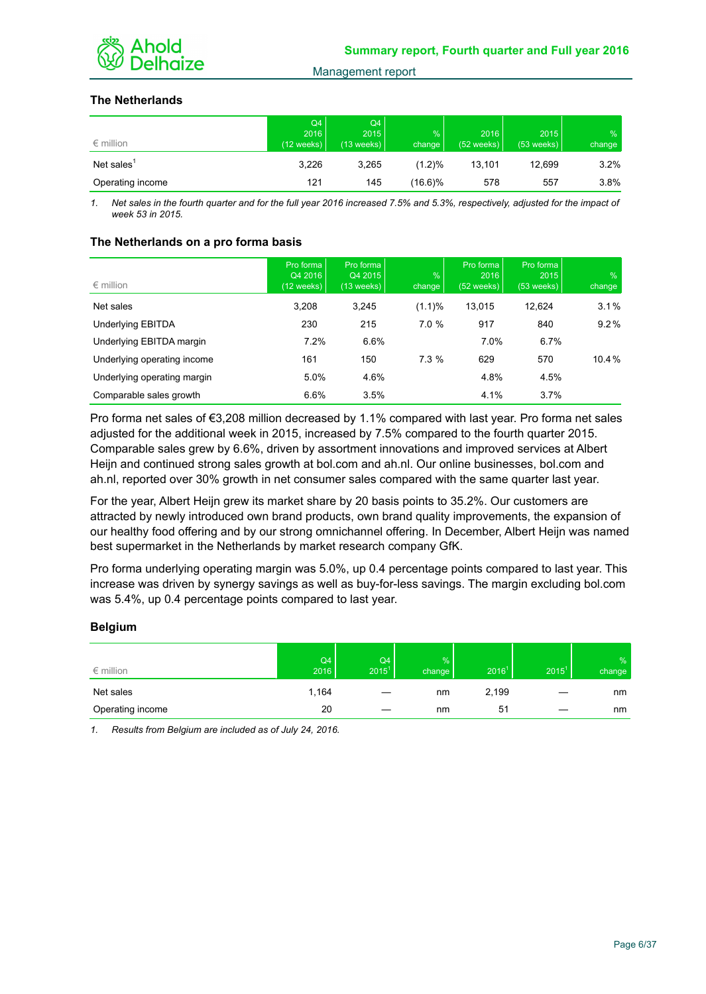

## **The Netherlands**

| $\epsilon$ million     | Q4  <br>2016<br>$(12 \text{ weeks})$ | Q4<br>2015<br>$(13$ weeks) | %<br>change | 2016<br>$(52 \text{ weeks})$ | 2015<br>$(53$ weeks) | $\%$<br>change |
|------------------------|--------------------------------------|----------------------------|-------------|------------------------------|----------------------|----------------|
| Net sales <sup>1</sup> | 3,226                                | 3,265                      | $(1.2)\%$   | 13,101                       | 12.699               | 3.2%           |
| Operating income       | 121                                  | 145                        | $(16.6)\%$  | 578                          | 557                  | 3.8%           |

*1. Net sales in the fourth quarter and for the full year 2016 increased 7.5% and 5.3%, respectively, adjusted for the impact of week 53 in 2015.*

## **The Netherlands on a pro forma basis**

| $\epsilon$ million          | Pro forma<br>Q4 2016<br>$(12 \text{ weeks})$ | Pro forma<br>Q4 2015<br>$(13 \text{ weeks})$ | %<br>change | Pro forma<br>2016<br>$(52 \text{ weeks})$ | Pro forma<br>2015<br>$(53$ weeks) | $\frac{9}{6}$<br>change |
|-----------------------------|----------------------------------------------|----------------------------------------------|-------------|-------------------------------------------|-----------------------------------|-------------------------|
| Net sales                   | 3,208                                        | 3.245                                        | (1.1)%      | 13,015                                    | 12,624                            | 3.1%                    |
| Underlying EBITDA           | 230                                          | 215                                          | 7.0%        | 917                                       | 840                               | $9.2\%$                 |
| Underlying EBITDA margin    | 7.2%                                         | 6.6%                                         |             | 7.0%                                      | 6.7%                              |                         |
| Underlying operating income | 161                                          | 150                                          | 7.3%        | 629                                       | 570                               | 10.4%                   |
| Underlying operating margin | 5.0%                                         | 4.6%                                         |             | 4.8%                                      | 4.5%                              |                         |
| Comparable sales growth     | 6.6%                                         | 3.5%                                         |             | 4.1%                                      | 3.7%                              |                         |

Pro forma net sales of €3,208 million decreased by 1.1% compared with last year. Pro forma net sales adjusted for the additional week in 2015, increased by 7.5% compared to the fourth quarter 2015. Comparable sales grew by 6.6%, driven by assortment innovations and improved services at Albert Heijn and continued strong sales growth at bol.com and ah.nl. Our online businesses, bol.com and ah.nl, reported over 30% growth in net consumer sales compared with the same quarter last year.

For the year, Albert Heijn grew its market share by 20 basis points to 35.2%. Our customers are attracted by newly introduced own brand products, own brand quality improvements, the expansion of our healthy food offering and by our strong omnichannel offering. In December, Albert Heijn was named best supermarket in the Netherlands by market research company GfK.

Pro forma underlying operating margin was 5.0%, up 0.4 percentage points compared to last year. This increase was driven by synergy savings as well as buy-for-less savings. The margin excluding bol.com was 5.4%, up 0.4 percentage points compared to last year.

## **Belgium**

| $\epsilon$ million | Q4<br>2016 | Q4<br>$2015^1$ | %<br>change | 2016 <sup>1</sup> | $2015^1$ | $\frac{9}{6}$<br>change |
|--------------------|------------|----------------|-------------|-------------------|----------|-------------------------|
| Net sales          | 1,164      |                | nm          | 2,199             |          | nm                      |
| Operating income   | 20         |                | nm          | 51                |          | nm                      |

*1. Results from Belgium are included as of July 24, 2016.*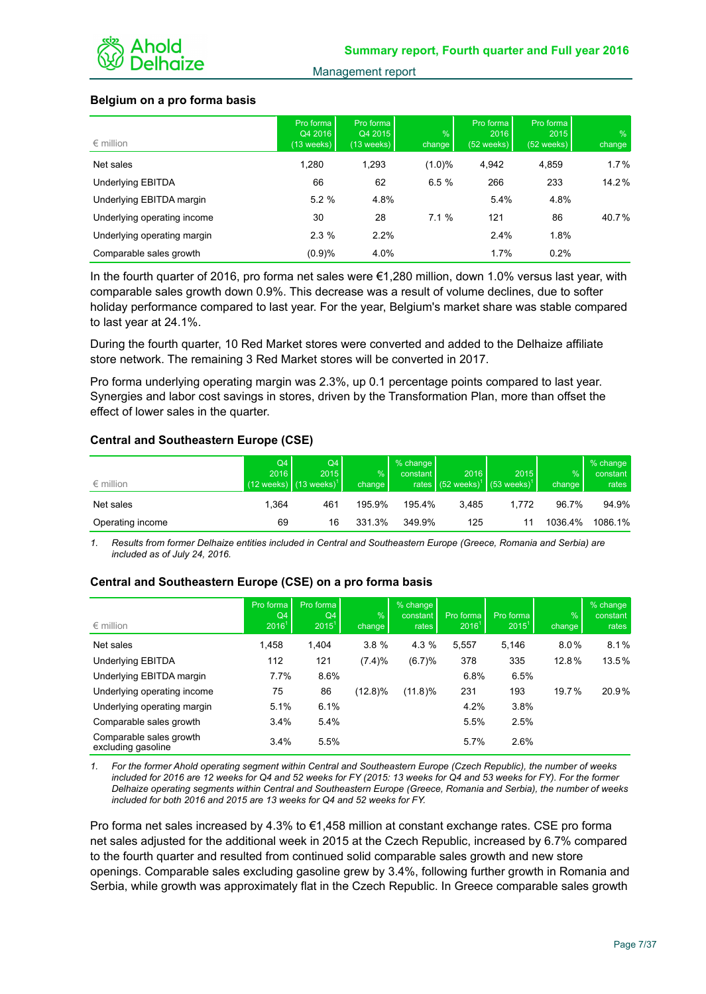

## **Belgium on a pro forma basis**

| $\epsilon$ million          | Pro forma<br>Q4 2016<br>$(13$ weeks) | Pro forma<br>Q4 2015<br>$(13$ weeks) | $\sqrt{2}$<br>change | Pro forma<br>2016<br>$(52 \text{ weeks})$ | Pro forma<br>2015<br>$(52 \text{ weeks})$ | $\%$<br>change |
|-----------------------------|--------------------------------------|--------------------------------------|----------------------|-------------------------------------------|-------------------------------------------|----------------|
| Net sales                   | 1.280                                | 1,293                                | $(1.0)\%$            | 4,942                                     | 4,859                                     | $1.7\%$        |
| Underlying EBITDA           | 66                                   | 62                                   | 6.5%                 | 266                                       | 233                                       | 14.2%          |
| Underlying EBITDA margin    | 5.2%                                 | 4.8%                                 |                      | 5.4%                                      | 4.8%                                      |                |
| Underlying operating income | 30                                   | 28                                   | 7.1%                 | 121                                       | 86                                        | 40.7%          |
| Underlying operating margin | 2.3%                                 | 2.2%                                 |                      | 2.4%                                      | 1.8%                                      |                |
| Comparable sales growth     | (0.9)%                               | 4.0%                                 |                      | 1.7%                                      | 0.2%                                      |                |

In the fourth quarter of 2016, pro forma net sales were €1,280 million, down 1.0% versus last year, with comparable sales growth down 0.9%. This decrease was a result of volume declines, due to softer holiday performance compared to last year. For the year, Belgium's market share was stable compared to last year at 24.1%.

During the fourth quarter, 10 Red Market stores were converted and added to the Delhaize affiliate store network. The remaining 3 Red Market stores will be converted in 2017.

Pro forma underlying operating margin was 2.3%, up 0.1 percentage points compared to last year. Synergies and labor cost savings in stores, driven by the Transformation Plan, more than offset the effect of lower sales in the quarter.

## **Central and Southeastern Europe (CSE)**

| $\epsilon$ million | Q4<br>2016 | Q4<br>2015<br>$(12 \text{ weeks})$ (13 weeks) <sup>1</sup> | %<br>change | % change<br>constant | 2016  | 2015<br>rates $(52 \text{ weeks})^1$ (53 weeks) <sup>1</sup> | $\%$<br>change | % change<br>constant<br>rates |
|--------------------|------------|------------------------------------------------------------|-------------|----------------------|-------|--------------------------------------------------------------|----------------|-------------------------------|
| Net sales          | .364       | 461                                                        | 195.9%      | 195.4%               | 3.485 | 1.772                                                        | 96.7%          | 94.9%                         |
| Operating income   | 69         | 16                                                         | 331.3%      | 349.9%               | 125   | 11                                                           | 1036.4%        | 1086.1%                       |

*1. Results from former Delhaize entities included in Central and Southeastern Europe (Greece, Romania and Serbia) are included as of July 24, 2016.*

## **Central and Southeastern Europe (CSE) on a pro forma basis**

| $\epsilon$ million                            | Pro forma<br>Q4<br>2016 <sup>1</sup> | Pro forma<br>Q4<br>$2015^1$ | $\%$<br>change | % change<br>constant<br>rates | Pro forma<br>$2016^1$ | Pro forma<br>$2015^1$ | $\frac{9}{6}$<br>change | % change<br>constant<br>rates |
|-----------------------------------------------|--------------------------------------|-----------------------------|----------------|-------------------------------|-----------------------|-----------------------|-------------------------|-------------------------------|
| Net sales                                     | 1,458                                | 1,404                       | 3.8%           | 4.3 %                         | 5,557                 | 5.146                 | $8.0\%$                 | 8.1%                          |
| Underlying EBITDA                             | 112                                  | 121                         | (7.4)%         | (6.7)%                        | 378                   | 335                   | 12.8%                   | 13.5%                         |
| Underlying EBITDA margin                      | 7.7%                                 | 8.6%                        |                |                               | 6.8%                  | 6.5%                  |                         |                               |
| Underlying operating income                   | 75                                   | 86                          | $(12.8)\%$     | $(11.8)\%$                    | 231                   | 193                   | 19.7%                   | 20.9%                         |
| Underlying operating margin                   | 5.1%                                 | 6.1%                        |                |                               | 4.2%                  | 3.8%                  |                         |                               |
| Comparable sales growth                       | 3.4%                                 | 5.4%                        |                |                               | 5.5%                  | 2.5%                  |                         |                               |
| Comparable sales growth<br>excluding gasoline | 3.4%                                 | 5.5%                        |                |                               | 5.7%                  | 2.6%                  |                         |                               |

*1. For the former Ahold operating segment within Central and Southeastern Europe (Czech Republic), the number of weeks included for 2016 are 12 weeks for Q4 and 52 weeks for FY (2015: 13 weeks for Q4 and 53 weeks for FY). For the former Delhaize operating segments within Central and Southeastern Europe (Greece, Romania and Serbia), the number of weeks included for both 2016 and 2015 are 13 weeks for Q4 and 52 weeks for FY.*

Pro forma net sales increased by 4.3% to €1,458 million at constant exchange rates. CSE pro forma net sales adjusted for the additional week in 2015 at the Czech Republic, increased by 6.7% compared to the fourth quarter and resulted from continued solid comparable sales growth and new store openings. Comparable sales excluding gasoline grew by 3.4%, following further growth in Romania and Serbia, while growth was approximately flat in the Czech Republic. In Greece comparable sales growth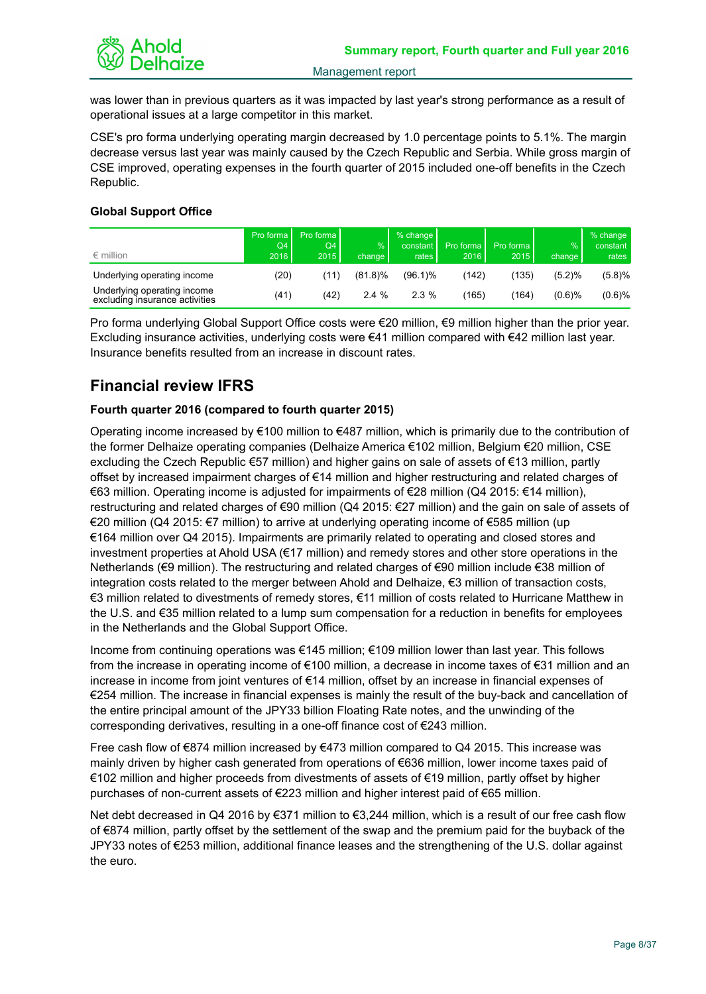

was lower than in previous quarters as it was impacted by last year's strong performance as a result of operational issues at a large competitor in this market.

CSE's pro forma underlying operating margin decreased by 1.0 percentage points to 5.1%. The margin decrease versus last year was mainly caused by the Czech Republic and Serbia. While gross margin of CSE improved, operating expenses in the fourth quarter of 2015 included one-off benefits in the Czech Republic.

## **Global Support Office**

| $\epsilon$ million                                            | Pro forma<br>Q4<br>2016 | Pro forma<br>Q4<br>2015 | $\frac{9}{6}$<br>change | $%$ change<br>constant<br>rates | Pro forma<br>2016 | Pro forma<br>2015 | $\frac{9}{6}$<br>change I | $%$ change<br>constant<br>rates |
|---------------------------------------------------------------|-------------------------|-------------------------|-------------------------|---------------------------------|-------------------|-------------------|---------------------------|---------------------------------|
| Underlying operating income                                   | (20)                    | (11                     | $(81.8)\%$              | $(96.1)\%$                      | (142)             | (135)             | (5.2)%                    | (5.8)%                          |
| Underlying operating income<br>excluding insurance activities | (41)                    | (42)                    | 2.4%                    | $2.3\%$                         | (165)             | (164)             | $(0.6)$ %                 | $(0.6)$ %                       |

Pro forma underlying Global Support Office costs were €20 million, €9 million higher than the prior year. Excluding insurance activities, underlying costs were €41 million compared with €42 million last year. Insurance benefits resulted from an increase in discount rates.

# **Financial review IFRS**

## **Fourth quarter 2016 (compared to fourth quarter 2015)**

Operating income increased by €100 million to €487 million, which is primarily due to the contribution of the former Delhaize operating companies (Delhaize America €102 million, Belgium €20 million, CSE excluding the Czech Republic €57 million) and higher gains on sale of assets of €13 million, partly offset by increased impairment charges of €14 million and higher restructuring and related charges of €63 million. Operating income is adjusted for impairments of €28 million (Q4 2015: €14 million), restructuring and related charges of €90 million (Q4 2015: €27 million) and the gain on sale of assets of €20 million (Q4 2015: €7 million) to arrive at underlying operating income of €585 million (up €164 million over Q4 2015). Impairments are primarily related to operating and closed stores and investment properties at Ahold USA (€17 million) and remedy stores and other store operations in the Netherlands (€9 million). The restructuring and related charges of €90 million include €38 million of integration costs related to the merger between Ahold and Delhaize, €3 million of transaction costs, €3 million related to divestments of remedy stores, €11 million of costs related to Hurricane Matthew in the U.S. and €35 million related to a lump sum compensation for a reduction in benefits for employees in the Netherlands and the Global Support Office.

Income from continuing operations was €145 million; €109 million lower than last year. This follows from the increase in operating income of €100 million, a decrease in income taxes of €31 million and an increase in income from joint ventures of €14 million, offset by an increase in financial expenses of €254 million. The increase in financial expenses is mainly the result of the buy-back and cancellation of the entire principal amount of the JPY33 billion Floating Rate notes, and the unwinding of the corresponding derivatives, resulting in a one-off finance cost of €243 million.

Free cash flow of  $\epsilon$ 874 million increased by  $\epsilon$ 473 million compared to Q4 2015. This increase was mainly driven by higher cash generated from operations of €636 million, lower income taxes paid of €102 million and higher proceeds from divestments of assets of €19 million, partly offset by higher purchases of non-current assets of €223 million and higher interest paid of €65 million.

Net debt decreased in Q4 2016 by €371 million to €3,244 million, which is a result of our free cash flow of €874 million, partly offset by the settlement of the swap and the premium paid for the buyback of the JPY33 notes of €253 million, additional finance leases and the strengthening of the U.S. dollar against the euro.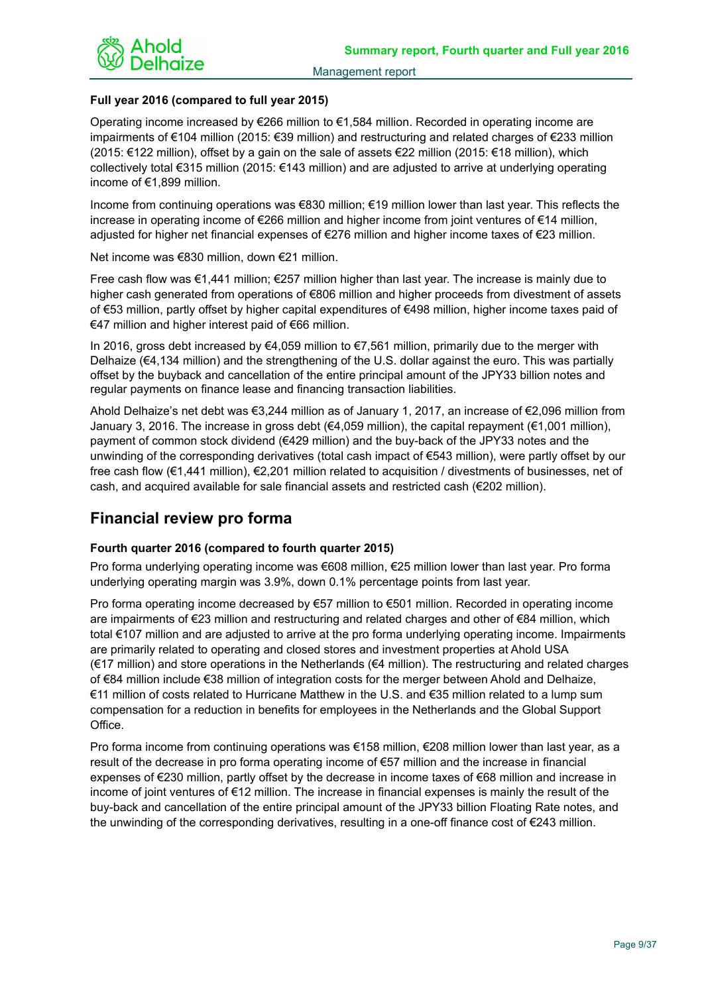

## **Full year 2016 (compared to full year 2015)**

Operating income increased by €266 million to €1,584 million. Recorded in operating income are impairments of €104 million (2015: €39 million) and restructuring and related charges of €233 million (2015: €122 million), offset by a gain on the sale of assets €22 million (2015: €18 million), which collectively total €315 million (2015: €143 million) and are adjusted to arrive at underlying operating income of €1,899 million.

Income from continuing operations was €830 million; €19 million lower than last year. This reflects the increase in operating income of €266 million and higher income from joint ventures of €14 million, adjusted for higher net financial expenses of €276 million and higher income taxes of €23 million.

Net income was €830 million, down €21 million.

Free cash flow was €1,441 million; €257 million higher than last year. The increase is mainly due to higher cash generated from operations of €806 million and higher proceeds from divestment of assets of €53 million, partly offset by higher capital expenditures of €498 million, higher income taxes paid of €47 million and higher interest paid of €66 million.

In 2016, gross debt increased by €4,059 million to €7,561 million, primarily due to the merger with Delhaize (€4,134 million) and the strengthening of the U.S. dollar against the euro. This was partially offset by the buyback and cancellation of the entire principal amount of the JPY33 billion notes and regular payments on finance lease and financing transaction liabilities.

Ahold Delhaize's net debt was €3,244 million as of January 1, 2017, an increase of €2,096 million from January 3, 2016. The increase in gross debt (€4,059 million), the capital repayment (€1,001 million), payment of common stock dividend (€429 million) and the buy-back of the JPY33 notes and the unwinding of the corresponding derivatives (total cash impact of €543 million), were partly offset by our free cash flow (€1,441 million), €2,201 million related to acquisition / divestments of businesses, net of cash, and acquired available for sale financial assets and restricted cash (€202 million).

## **Financial review pro forma**

## **Fourth quarter 2016 (compared to fourth quarter 2015)**

Pro forma underlying operating income was €608 million, €25 million lower than last year. Pro forma underlying operating margin was 3.9%, down 0.1% percentage points from last year.

Pro forma operating income decreased by €57 million to €501 million. Recorded in operating income are impairments of €23 million and restructuring and related charges and other of €84 million, which total €107 million and are adjusted to arrive at the pro forma underlying operating income. Impairments are primarily related to operating and closed stores and investment properties at Ahold USA (€17 million) and store operations in the Netherlands (€4 million). The restructuring and related charges of €84 million include €38 million of integration costs for the merger between Ahold and Delhaize, €11 million of costs related to Hurricane Matthew in the U.S. and €35 million related to a lump sum compensation for a reduction in benefits for employees in the Netherlands and the Global Support Office.

Pro forma income from continuing operations was €158 million, €208 million lower than last year, as a result of the decrease in pro forma operating income of €57 million and the increase in financial expenses of €230 million, partly offset by the decrease in income taxes of €68 million and increase in income of joint ventures of €12 million. The increase in financial expenses is mainly the result of the buy-back and cancellation of the entire principal amount of the JPY33 billion Floating Rate notes, and the unwinding of the corresponding derivatives, resulting in a one-off finance cost of €243 million.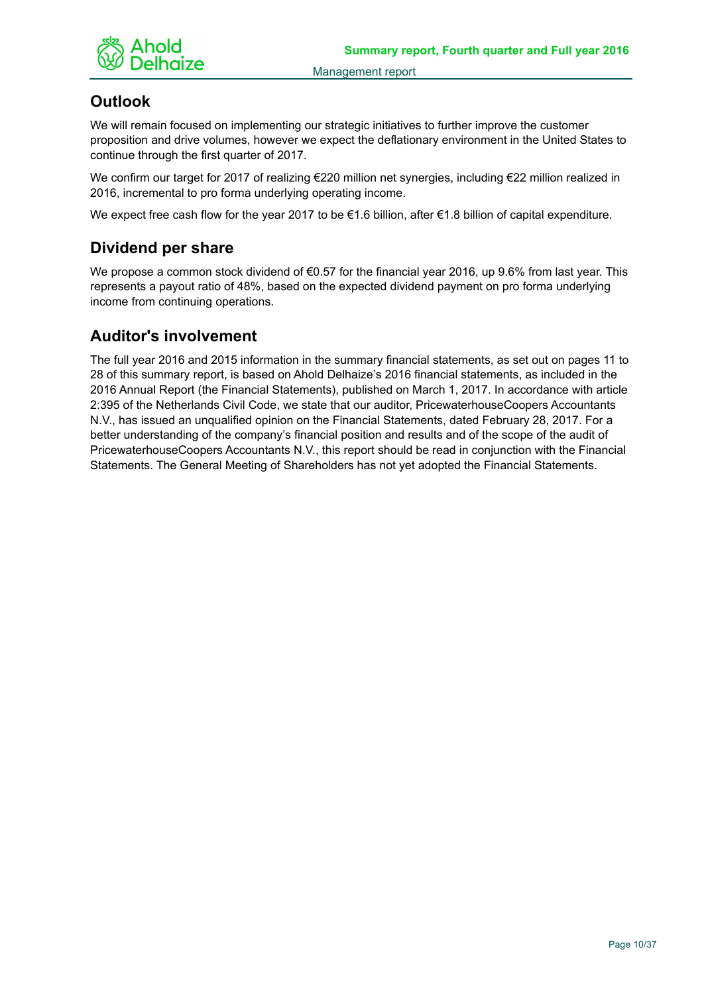

# **Outlook**

We will remain focused on implementing our strategic initiatives to further improve the customer proposition and drive volumes, however we expect the deflationary environment in the United States to continue through the first quarter of 2017.

We confirm our target for 2017 of realizing €220 million net synergies, including €22 million realized in 2016, incremental to pro forma underlying operating income.

We expect free cash flow for the year 2017 to be €1.6 billion, after €1.8 billion of capital expenditure.

# **Dividend per share**

We propose a common stock dividend of €0.57 for the financial year 2016, up 9.6% from last year. This represents a payout ratio of 48%, based on the expected dividend payment on pro forma underlying income from continuing operations.

# **Auditor's involvement**

The full year 2016 and 2015 information in the summary financial statements, as set out on pages 11 to 28 of this summary report, is based on Ahold Delhaize's 2016 financial statements, as included in the 2016 Annual Report (the Financial Statements), published on March 1, 2017. In accordance with article 2:395 of the Netherlands Civil Code, we state that our auditor, PricewaterhouseCoopers Accountants N.V., has issued an unqualified opinion on the Financial Statements, dated February 28, 2017. For a better understanding of the company's financial position and results and of the scope of the audit of PricewaterhouseCoopers Accountants N.V., this report should be read in conjunction with the Financial Statements. The General Meeting of Shareholders has not yet adopted the Financial Statements.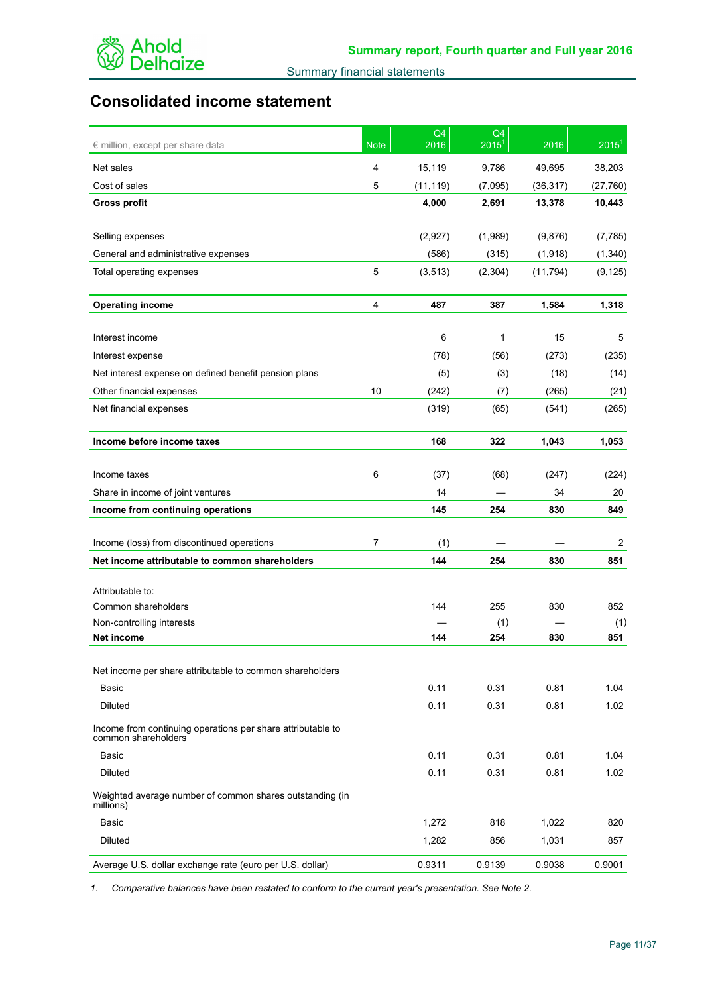

# **Consolidated income statement**

| € million, except per share data                                                   | <b>Note</b> | Q4<br>2016 | Q4<br>$2015^1$ | 2016      | 2015 <sup>1</sup> |
|------------------------------------------------------------------------------------|-------------|------------|----------------|-----------|-------------------|
| Net sales                                                                          | 4           | 15,119     | 9,786          | 49,695    | 38,203            |
| Cost of sales                                                                      | 5           | (11, 119)  | (7,095)        | (36, 317) | (27, 760)         |
| <b>Gross profit</b>                                                                |             | 4,000      | 2,691          | 13,378    | 10,443            |
|                                                                                    |             |            |                |           |                   |
| Selling expenses                                                                   |             | (2,927)    | (1,989)        | (9,876)   | (7, 785)          |
| General and administrative expenses                                                |             | (586)      | (315)          | (1, 918)  | (1, 340)          |
| Total operating expenses                                                           | 5           | (3, 513)   | (2,304)        | (11, 794) | (9, 125)          |
| <b>Operating income</b>                                                            | 4           | 487        | 387            | 1,584     | 1,318             |
| Interest income                                                                    |             | 6          | 1              | 15        | 5                 |
| Interest expense                                                                   |             | (78)       | (56)           | (273)     | (235)             |
| Net interest expense on defined benefit pension plans                              |             | (5)        | (3)            | (18)      | (14)              |
| Other financial expenses                                                           | 10          | (242)      | (7)            | (265)     | (21)              |
| Net financial expenses                                                             |             | (319)      | (65)           | (541)     | (265)             |
| Income before income taxes                                                         |             | 168        | 322            | 1,043     | 1,053             |
|                                                                                    |             |            |                |           |                   |
| Income taxes                                                                       | 6           | (37)       | (68)           | (247)     | (224)             |
| Share in income of joint ventures                                                  |             | 14         |                | 34        | 20                |
| Income from continuing operations                                                  |             | 145        | 254            | 830       | 849               |
| Income (loss) from discontinued operations                                         | 7           | (1)        |                |           | 2                 |
| Net income attributable to common shareholders                                     |             | 144        | 254            | 830       | 851               |
|                                                                                    |             |            |                |           |                   |
| Attributable to:<br>Common shareholders                                            |             | 144        | 255            | 830       | 852               |
| Non-controlling interests                                                          |             |            | (1)            |           | (1)               |
| Net income                                                                         |             | 144        | 254            | 830       | 851               |
|                                                                                    |             |            |                |           |                   |
| Net income per share attributable to common shareholders                           |             |            |                |           |                   |
| Basic                                                                              |             | 0.11       | 0.31           | 0.81      | 1.04              |
| Diluted                                                                            |             | 0.11       | 0.31           | 0.81      | 1.02              |
| Income from continuing operations per share attributable to<br>common shareholders |             |            |                |           |                   |
| Basic                                                                              |             | 0.11       | 0.31           | 0.81      | 1.04              |
| Diluted                                                                            |             | 0.11       | 0.31           | 0.81      | 1.02              |
| Weighted average number of common shares outstanding (in<br>millions)              |             |            |                |           |                   |
| Basic                                                                              |             | 1,272      | 818            | 1,022     | 820               |
| Diluted                                                                            |             | 1,282      | 856            | 1,031     | 857               |
| Average U.S. dollar exchange rate (euro per U.S. dollar)                           |             | 0.9311     | 0.9139         | 0.9038    | 0.9001            |

*1. Comparative balances have been restated to conform to the current year's presentation. See Note 2.*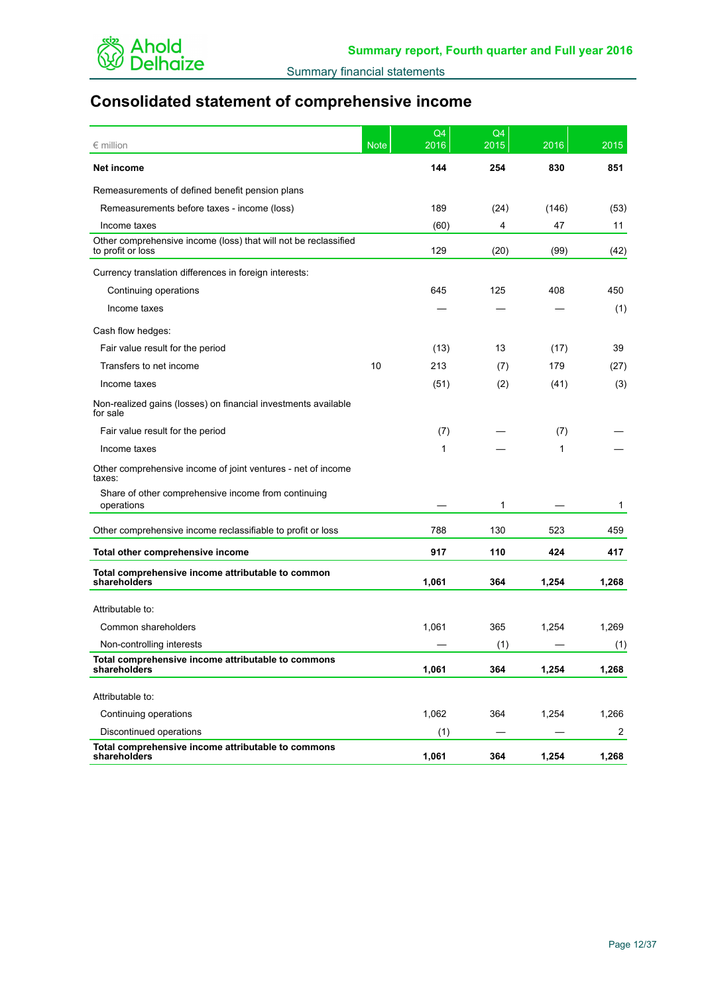

# **Consolidated statement of comprehensive income**

| $\epsilon$ million                                                                   | <b>Note</b> | Q <sub>4</sub><br>2016 | Q <sub>4</sub><br>2015 | 2016  | 2015           |
|--------------------------------------------------------------------------------------|-------------|------------------------|------------------------|-------|----------------|
| Net income                                                                           |             | 144                    | 254                    | 830   | 851            |
| Remeasurements of defined benefit pension plans                                      |             |                        |                        |       |                |
| Remeasurements before taxes - income (loss)                                          |             | 189                    | (24)                   | (146) | (53)           |
| Income taxes                                                                         |             | (60)                   | 4                      | 47    | 11             |
| Other comprehensive income (loss) that will not be reclassified<br>to profit or loss |             | 129                    | (20)                   | (99)  | (42)           |
| Currency translation differences in foreign interests:                               |             |                        |                        |       |                |
| Continuing operations                                                                |             | 645                    | 125                    | 408   | 450            |
| Income taxes                                                                         |             |                        |                        |       | (1)            |
| Cash flow hedges:                                                                    |             |                        |                        |       |                |
| Fair value result for the period                                                     |             | (13)                   | 13                     | (17)  | 39             |
| Transfers to net income                                                              | 10          | 213                    | (7)                    | 179   | (27)           |
| Income taxes                                                                         |             | (51)                   | (2)                    | (41)  | (3)            |
| Non-realized gains (losses) on financial investments available<br>for sale           |             |                        |                        |       |                |
| Fair value result for the period                                                     |             | (7)                    |                        | (7)   |                |
| Income taxes                                                                         |             | 1                      |                        | 1     |                |
| Other comprehensive income of joint ventures - net of income<br>taxes:               |             |                        |                        |       |                |
| Share of other comprehensive income from continuing<br>operations                    |             |                        | 1                      |       | 1              |
| Other comprehensive income reclassifiable to profit or loss                          |             | 788                    | 130                    | 523   | 459            |
| Total other comprehensive income                                                     |             | 917                    | 110                    | 424   | 417            |
| Total comprehensive income attributable to common<br>shareholders                    |             | 1,061                  | 364                    | 1,254 | 1,268          |
| Attributable to:                                                                     |             |                        |                        |       |                |
| Common shareholders                                                                  |             | 1,061                  | 365                    | 1,254 | 1,269          |
| Non-controlling interests                                                            |             |                        | (1)                    |       | (1)            |
| Total comprehensive income attributable to commons<br>shareholders                   |             | 1,061                  | 364                    | 1,254 | 1,268          |
| Attributable to:                                                                     |             |                        |                        |       |                |
| Continuing operations                                                                |             | 1,062                  | 364                    | 1,254 | 1,266          |
| Discontinued operations                                                              |             | (1)                    |                        |       | $\overline{2}$ |
| Total comprehensive income attributable to commons<br>shareholders                   |             | 1,061                  | 364                    | 1,254 | 1,268          |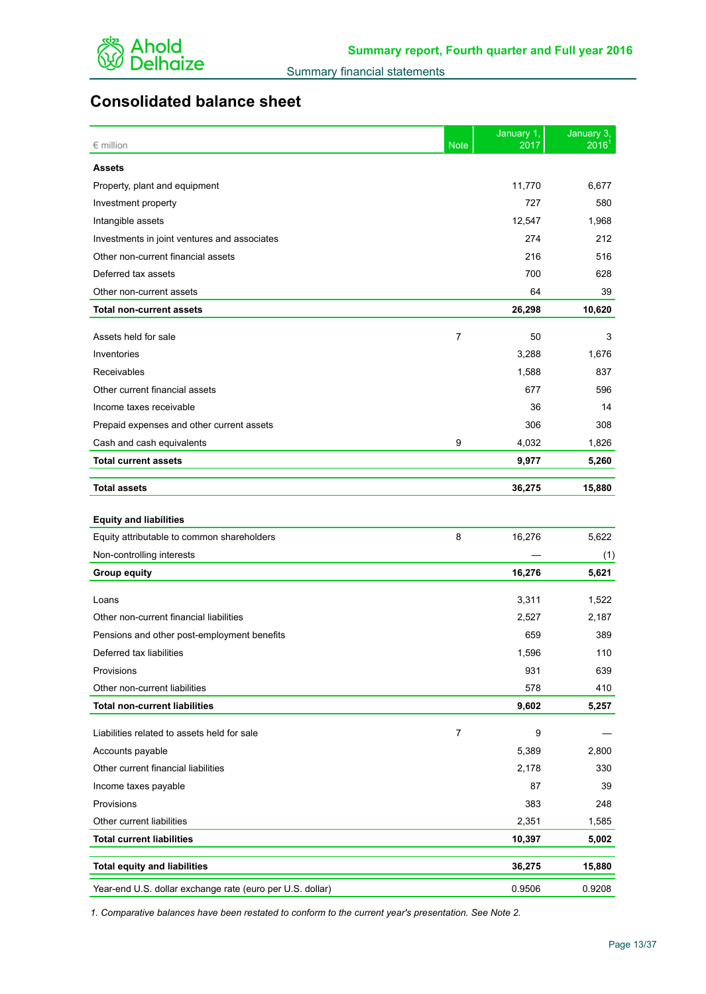

# **Consolidated balance sheet**

| $\epsilon$ million                                        | <b>Note</b>    | January 1,<br>2017 | January 3,<br>2016 |
|-----------------------------------------------------------|----------------|--------------------|--------------------|
| <b>Assets</b>                                             |                |                    |                    |
| Property, plant and equipment                             |                | 11,770             | 6,677              |
| Investment property                                       |                | 727                | 580                |
| Intangible assets                                         |                | 12,547             | 1,968              |
| Investments in joint ventures and associates              |                | 274                | 212                |
| Other non-current financial assets                        |                | 216                | 516                |
| Deferred tax assets                                       |                | 700                | 628                |
| Other non-current assets                                  |                | 64                 | 39                 |
| <b>Total non-current assets</b>                           |                | 26,298             | 10,620             |
| Assets held for sale                                      | 7              | 50                 | 3                  |
| Inventories                                               |                | 3,288              | 1,676              |
| Receivables                                               |                | 1,588              | 837                |
| Other current financial assets                            |                | 677                | 596                |
| Income taxes receivable                                   |                | 36                 | 14                 |
| Prepaid expenses and other current assets                 |                | 306                | 308                |
| Cash and cash equivalents                                 | 9              | 4,032              | 1,826              |
| <b>Total current assets</b>                               |                | 9,977              | 5,260              |
|                                                           |                |                    |                    |
| <b>Total assets</b>                                       |                | 36,275             | 15,880             |
| <b>Equity and liabilities</b>                             |                |                    |                    |
| Equity attributable to common shareholders                | 8              | 16,276             | 5,622              |
| Non-controlling interests                                 |                |                    | (1)                |
| <b>Group equity</b>                                       |                | 16,276             | 5,621              |
| Loans                                                     |                | 3,311              | 1,522              |
| Other non-current financial liabilities                   |                | 2,527              | 2,187              |
| Pensions and other post-employment benefits               |                | 659                | 389                |
| Deferred tax liabilities                                  |                | 1,596              | 110                |
| Provisions                                                |                | 931                | 639                |
| Other non-current liabilities                             |                | 578                | 410                |
| <b>Total non-current liabilities</b>                      |                | 9,602              | 5,257              |
|                                                           |                |                    |                    |
| Liabilities related to assets held for sale               | $\overline{7}$ | 9                  |                    |
| Accounts payable                                          |                | 5,389              | 2,800              |
| Other current financial liabilities                       |                | 2,178              | 330                |
| Income taxes payable                                      |                | 87                 | 39                 |
| Provisions                                                |                | 383                | 248                |
| Other current liabilities                                 |                | 2,351              | 1,585              |
| <b>Total current liabilities</b>                          |                | 10,397             | 5,002              |
| <b>Total equity and liabilities</b>                       |                | 36,275             | 15,880             |
| Year-end U.S. dollar exchange rate (euro per U.S. dollar) |                | 0.9506             | 0.9208             |

*1. Comparative balances have been restated to conform to the current year's presentation. See Note 2.*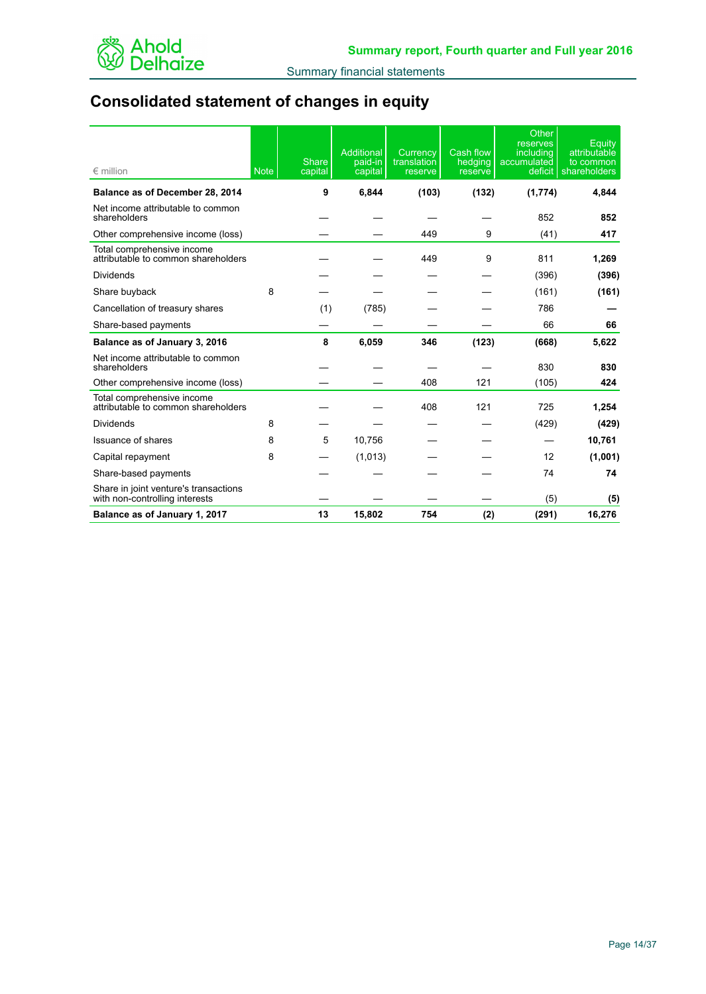

# **Consolidated statement of changes in equity**

| $\epsilon$ million                                                      | <b>Note</b> | <b>Share</b><br>capital | <b>Additional</b><br>paid-in<br>capital | Currency<br>translation<br>reserve | <b>Cash flow</b><br>hedging<br>reserve | Other<br>reserves<br>including<br>accumulated<br>deficit | Equity<br>attributable<br>to common<br>shareholders |
|-------------------------------------------------------------------------|-------------|-------------------------|-----------------------------------------|------------------------------------|----------------------------------------|----------------------------------------------------------|-----------------------------------------------------|
| Balance as of December 28, 2014                                         |             | 9                       | 6,844                                   | (103)                              | (132)                                  | (1, 774)                                                 | 4,844                                               |
| Net income attributable to common<br>shareholders                       |             |                         |                                         |                                    |                                        | 852                                                      | 852                                                 |
| Other comprehensive income (loss)                                       |             |                         |                                         | 449                                | 9                                      | (41)                                                     | 417                                                 |
| Total comprehensive income<br>attributable to common shareholders       |             |                         |                                         | 449                                | 9                                      | 811                                                      | 1,269                                               |
| <b>Dividends</b>                                                        |             |                         |                                         |                                    |                                        | (396)                                                    | (396)                                               |
| Share buyback                                                           | 8           |                         |                                         |                                    |                                        | (161)                                                    | (161)                                               |
| Cancellation of treasury shares                                         |             | (1)                     | (785)                                   |                                    |                                        | 786                                                      |                                                     |
| Share-based payments                                                    |             |                         |                                         |                                    |                                        | 66                                                       | 66                                                  |
| Balance as of January 3, 2016                                           |             | 8                       | 6,059                                   | 346                                | (123)                                  | (668)                                                    | 5.622                                               |
| Net income attributable to common<br>shareholders                       |             |                         |                                         |                                    |                                        | 830                                                      | 830                                                 |
| Other comprehensive income (loss)                                       |             |                         |                                         | 408                                | 121                                    | (105)                                                    | 424                                                 |
| Total comprehensive income<br>attributable to common shareholders       |             |                         |                                         | 408                                | 121                                    | 725                                                      | 1,254                                               |
| <b>Dividends</b>                                                        | 8           |                         |                                         |                                    |                                        | (429)                                                    | (429)                                               |
| Issuance of shares                                                      | 8           | 5                       | 10,756                                  |                                    |                                        |                                                          | 10,761                                              |
| Capital repayment                                                       | 8           |                         | (1,013)                                 |                                    |                                        | 12                                                       | (1,001)                                             |
| Share-based payments                                                    |             |                         |                                         |                                    |                                        | 74                                                       | 74                                                  |
| Share in joint venture's transactions<br>with non-controlling interests |             |                         |                                         |                                    |                                        | (5)                                                      | (5)                                                 |
| Balance as of January 1, 2017                                           |             | 13                      | 15,802                                  | 754                                | (2)                                    | (291)                                                    | 16,276                                              |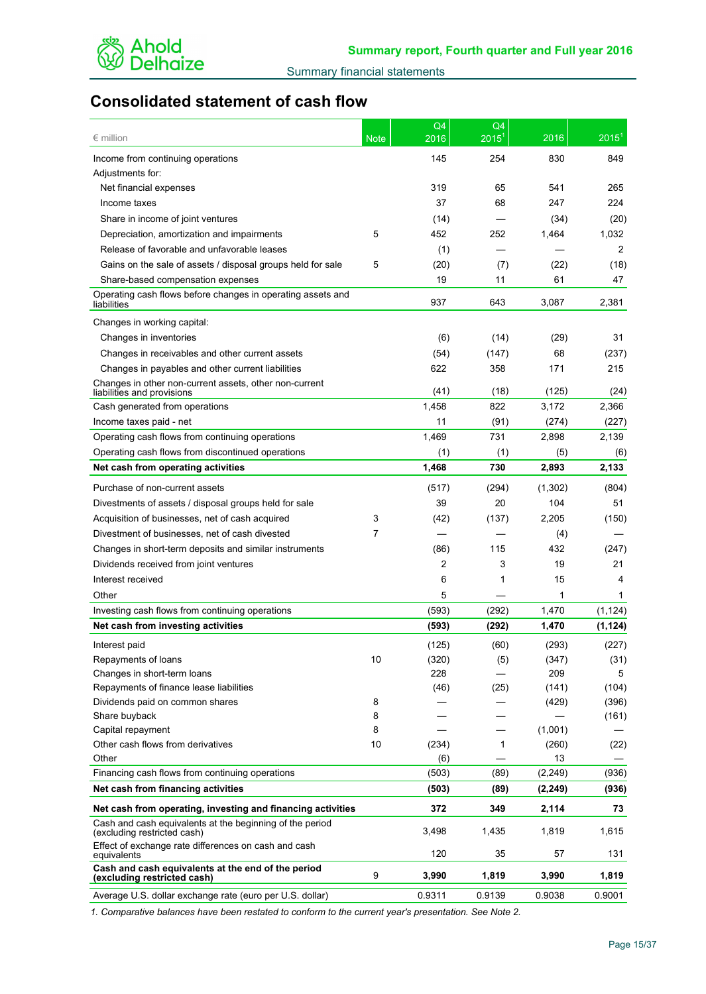

# **Consolidated statement of cash flow**

| $\epsilon$ million                                                                      | <b>Note</b> | Q4<br>2016     | Q <sub>4</sub><br>$2015^1$ | 2016     | $2015^1$ |
|-----------------------------------------------------------------------------------------|-------------|----------------|----------------------------|----------|----------|
| Income from continuing operations                                                       |             | 145            | 254                        | 830      | 849      |
| Adjustments for:                                                                        |             |                |                            |          |          |
| Net financial expenses                                                                  |             | 319            | 65                         | 541      | 265      |
| Income taxes                                                                            |             | 37             | 68                         | 247      | 224      |
| Share in income of joint ventures                                                       |             | (14)           |                            | (34)     | (20)     |
| Depreciation, amortization and impairments                                              | 5           | 452            | 252                        | 1,464    | 1,032    |
| Release of favorable and unfavorable leases                                             |             | (1)            |                            |          | 2        |
| Gains on the sale of assets / disposal groups held for sale                             | 5           | (20)           | (7)                        | (22)     | (18)     |
| Share-based compensation expenses                                                       |             | 19             | 11                         | 61       | 47       |
| Operating cash flows before changes in operating assets and                             |             |                |                            |          |          |
| liabilities                                                                             |             | 937            | 643                        | 3,087    | 2,381    |
| Changes in working capital:                                                             |             |                |                            |          |          |
| Changes in inventories                                                                  |             | (6)            | (14)                       | (29)     | 31       |
| Changes in receivables and other current assets                                         |             | (54)           | (147)                      | 68       | (237)    |
| Changes in payables and other current liabilities                                       |             | 622            | 358                        | 171      | 215      |
| Changes in other non-current assets, other non-current<br>liabilities and provisions    |             | (41)           | (18)                       | (125)    | (24)     |
| Cash generated from operations                                                          |             | 1,458          | 822                        | 3,172    | 2,366    |
| Income taxes paid - net                                                                 |             | 11             | (91)                       | (274)    | (227)    |
| Operating cash flows from continuing operations                                         |             | 1,469          | 731                        | 2,898    | 2,139    |
| Operating cash flows from discontinued operations                                       |             | (1)            | (1)                        | (5)      | (6)      |
| Net cash from operating activities                                                      |             | 1,468          | 730                        | 2,893    | 2,133    |
|                                                                                         |             |                |                            |          |          |
| Purchase of non-current assets                                                          |             | (517)          | (294)                      | (1, 302) | (804)    |
| Divestments of assets / disposal groups held for sale                                   |             | 39             | 20                         | 104      | 51       |
| Acquisition of businesses, net of cash acquired                                         | 3           | (42)           | (137)                      | 2,205    | (150)    |
| Divestment of businesses, net of cash divested                                          | 7           |                |                            | (4)      |          |
| Changes in short-term deposits and similar instruments                                  |             | (86)           | 115                        | 432      | (247)    |
| Dividends received from joint ventures                                                  |             | $\overline{2}$ | 3                          | 19       | 21       |
| Interest received                                                                       |             | 6              | 1                          | 15       | 4        |
| Other                                                                                   |             | 5              |                            | 1        | 1        |
| Investing cash flows from continuing operations                                         |             | (593)          | (292)                      | 1,470    | (1, 124) |
| Net cash from investing activities                                                      |             | (593)          | (292)                      | 1,470    | (1, 124) |
| Interest paid                                                                           |             | (125)          | (60)                       | (293)    | (227)    |
| Repayments of loans                                                                     | 10          | (320)          | (5)                        | (347)    | (31)     |
| Changes in short-term loans                                                             |             | 228            |                            | 209      | 5        |
| Repayments of finance lease liabilities                                                 |             | (46)           | (25)                       | (141)    | (104)    |
| Dividends paid on common shares                                                         | 8           |                |                            | (429)    | (396)    |
| Share buyback                                                                           | 8           |                |                            |          | (161)    |
| Capital repayment                                                                       | 8           |                |                            | (1,001)  |          |
| Other cash flows from derivatives                                                       | 10          | (234)          | $\mathbf{1}$               | (260)    | (22)     |
| Other                                                                                   |             | (6)            |                            | 13       |          |
| Financing cash flows from continuing operations                                         |             | (503)          | (89)                       | (2, 249) | (936)    |
| Net cash from financing activities                                                      |             | (503)          | (89)                       | (2, 249) | (936)    |
| Net cash from operating, investing and financing activities                             |             | 372            | 349                        | 2,114    | 73       |
| Cash and cash equivalents at the beginning of the period<br>(excluding restricted cash) |             | 3,498          | 1,435                      | 1,819    | 1,615    |
| Effect of exchange rate differences on cash and cash<br>equivalents                     |             | 120            | 35                         | 57       | 131      |
| Cash and cash equivalents at the end of the period<br>(excluding restricted cash)       | 9           | 3,990          | 1,819                      | 3,990    | 1,819    |
| Average U.S. dollar exchange rate (euro per U.S. dollar)                                |             | 0.9311         | 0.9139                     | 0.9038   | 0.9001   |
|                                                                                         |             |                |                            |          |          |

*1. Comparative balances have been restated to conform to the current year's presentation. See Note 2.*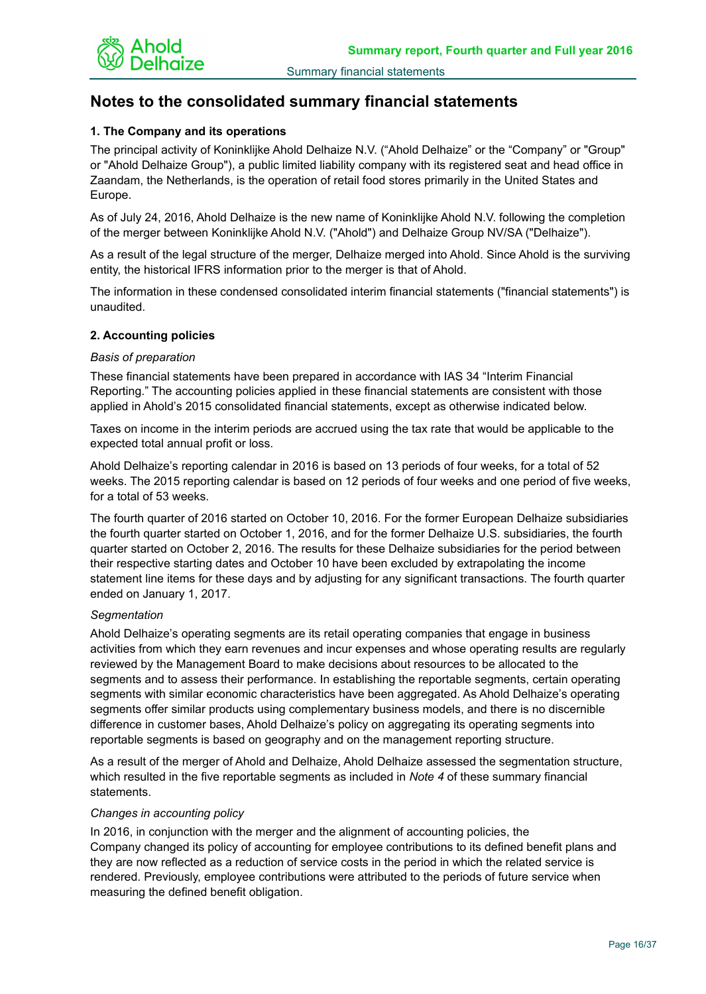

# **Notes to the consolidated summary financial statements**

## **1. The Company and its operations**

The principal activity of Koninklijke Ahold Delhaize N.V. ("Ahold Delhaize" or the "Company" or "Group" or "Ahold Delhaize Group"), a public limited liability company with its registered seat and head office in Zaandam, the Netherlands, is the operation of retail food stores primarily in the United States and Europe.

As of July 24, 2016, Ahold Delhaize is the new name of Koninklijke Ahold N.V. following the completion of the merger between Koninklijke Ahold N.V. ("Ahold") and Delhaize Group NV/SA ("Delhaize").

As a result of the legal structure of the merger, Delhaize merged into Ahold. Since Ahold is the surviving entity, the historical IFRS information prior to the merger is that of Ahold.

The information in these condensed consolidated interim financial statements ("financial statements") is unaudited.

## **2. Accounting policies**

## *Basis of preparation*

These financial statements have been prepared in accordance with IAS 34 "Interim Financial Reporting." The accounting policies applied in these financial statements are consistent with those applied in Ahold's 2015 consolidated financial statements, except as otherwise indicated below.

Taxes on income in the interim periods are accrued using the tax rate that would be applicable to the expected total annual profit or loss.

Ahold Delhaize's reporting calendar in 2016 is based on 13 periods of four weeks, for a total of 52 weeks. The 2015 reporting calendar is based on 12 periods of four weeks and one period of five weeks, for a total of 53 weeks.

The fourth quarter of 2016 started on October 10, 2016. For the former European Delhaize subsidiaries the fourth quarter started on October 1, 2016, and for the former Delhaize U.S. subsidiaries, the fourth quarter started on October 2, 2016. The results for these Delhaize subsidiaries for the period between their respective starting dates and October 10 have been excluded by extrapolating the income statement line items for these days and by adjusting for any significant transactions. The fourth quarter ended on January 1, 2017.

## *Segmentation*

Ahold Delhaize's operating segments are its retail operating companies that engage in business activities from which they earn revenues and incur expenses and whose operating results are regularly reviewed by the Management Board to make decisions about resources to be allocated to the segments and to assess their performance. In establishing the reportable segments, certain operating segments with similar economic characteristics have been aggregated. As Ahold Delhaize's operating segments offer similar products using complementary business models, and there is no discernible difference in customer bases, Ahold Delhaize's policy on aggregating its operating segments into reportable segments is based on geography and on the management reporting structure.

As a result of the merger of Ahold and Delhaize, Ahold Delhaize assessed the segmentation structure, which resulted in the five reportable segments as included in *Note 4* of these summary financial statements.

## *Changes in accounting policy*

In 2016, in conjunction with the merger and the alignment of accounting policies, the Company changed its policy of accounting for employee contributions to its defined benefit plans and they are now reflected as a reduction of service costs in the period in which the related service is rendered. Previously, employee contributions were attributed to the periods of future service when measuring the defined benefit obligation.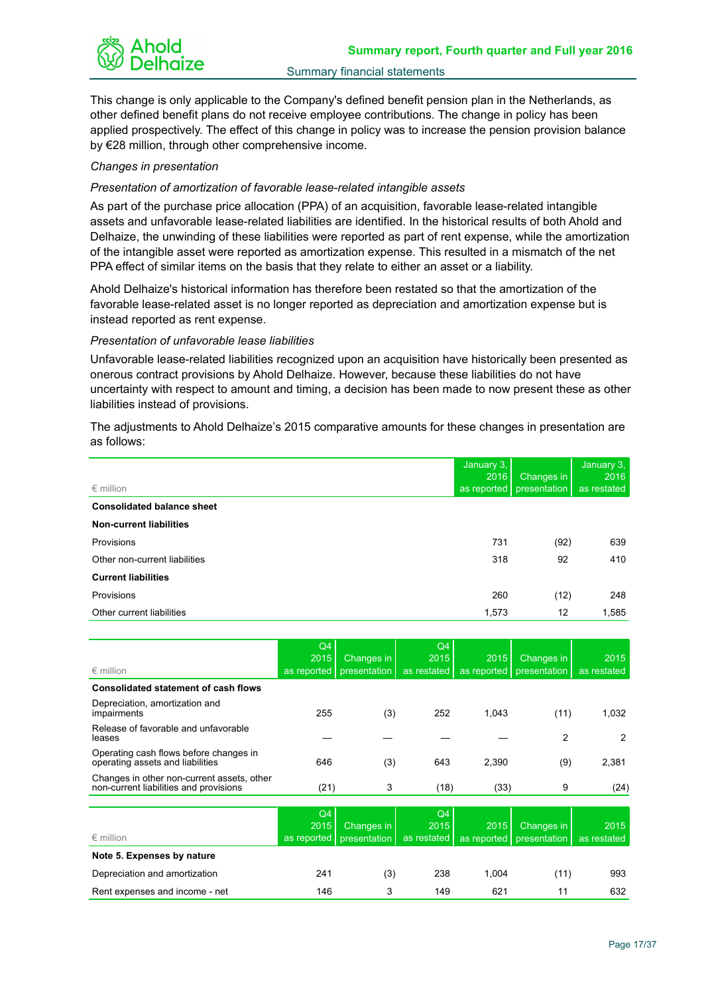

This change is only applicable to the Company's defined benefit pension plan in the Netherlands, as other defined benefit plans do not receive employee contributions. The change in policy has been applied prospectively. The effect of this change in policy was to increase the pension provision balance by €28 million, through other comprehensive income.

## *Changes in presentation*

## *Presentation of amortization of favorable lease-related intangible assets*

As part of the purchase price allocation (PPA) of an acquisition, favorable lease-related intangible assets and unfavorable lease-related liabilities are identified. In the historical results of both Ahold and Delhaize, the unwinding of these liabilities were reported as part of rent expense, while the amortization of the intangible asset were reported as amortization expense. This resulted in a mismatch of the net PPA effect of similar items on the basis that they relate to either an asset or a liability.

Ahold Delhaize's historical information has therefore been restated so that the amortization of the favorable lease-related asset is no longer reported as depreciation and amortization expense but is instead reported as rent expense.

## *Presentation of unfavorable lease liabilities*

Unfavorable lease-related liabilities recognized upon an acquisition have historically been presented as onerous contract provisions by Ahold Delhaize. However, because these liabilities do not have uncertainty with respect to amount and timing, a decision has been made to now present these as other liabilities instead of provisions.

The adjustments to Ahold Delhaize's 2015 comparative amounts for these changes in presentation are as follows:

|                                   | January 3,<br>2016 | Changes in   | January 3,<br>2016 |
|-----------------------------------|--------------------|--------------|--------------------|
| $\epsilon$ million                | as reported        | presentation | as restated        |
| <b>Consolidated balance sheet</b> |                    |              |                    |
| <b>Non-current liabilities</b>    |                    |              |                    |
| Provisions                        | 731                | (92)         | 639                |
| Other non-current liabilities     | 318                | 92           | 410                |
| <b>Current liabilities</b>        |                    |              |                    |
| Provisions                        | 260                | (12)         | 248                |
| Other current liabilities         | 1,573              | 12           | 1,585              |

| $\epsilon$ million                                                                   | Q4<br>2015<br>as reported | Changes in<br>presentation | Q <sub>4</sub><br>2015<br>as restated | 2015<br>as reported | Changes in<br>presentation | 2015<br>as restated |
|--------------------------------------------------------------------------------------|---------------------------|----------------------------|---------------------------------------|---------------------|----------------------------|---------------------|
| <b>Consolidated statement of cash flows</b>                                          |                           |                            |                                       |                     |                            |                     |
| Depreciation, amortization and<br>impairments                                        | 255                       | (3)                        | 252                                   | 1,043               | (11)                       | 1,032               |
| Release of favorable and unfavorable<br>leases                                       |                           |                            |                                       |                     | 2                          | 2                   |
| Operating cash flows before changes in<br>operating assets and liabilities           | 646                       | (3)                        | 643                                   | 2,390               | (9)                        | 2,381               |
| Changes in other non-current assets, other<br>non-current liabilities and provisions | (21)                      | 3                          | (18)                                  | (33)                | 9                          | (24)                |
|                                                                                      |                           |                            |                                       |                     |                            |                     |
| $\epsilon$ million                                                                   | Q4<br>2015<br>as reported | Changes in<br>presentation | Q4<br>2015<br>as restated             | 2015<br>as reported | Changes in<br>presentation | 2015<br>as restated |
| Note 5. Expenses by nature                                                           |                           |                            |                                       |                     |                            |                     |
| Depreciation and amortization                                                        | 241                       | (3)                        | 238                                   | 1,004               | (11)                       | 993                 |
| Rent expenses and income - net                                                       | 146                       | 3                          | 149                                   | 621                 | 11                         | 632                 |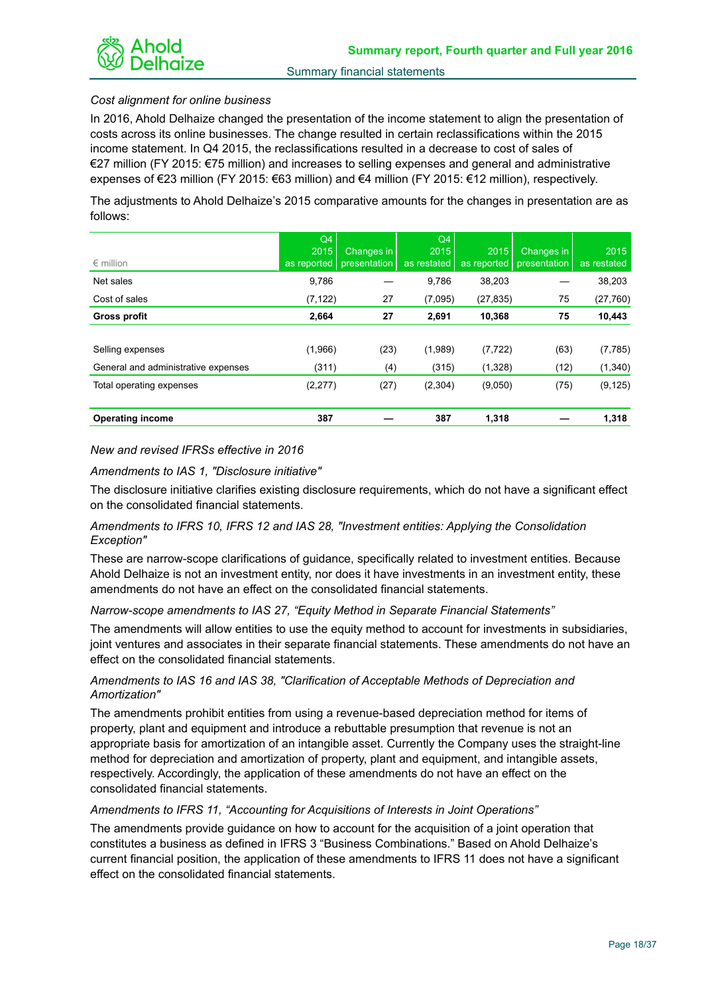

## *Cost alignment for online business*

In 2016, Ahold Delhaize changed the presentation of the income statement to align the presentation of costs across its online businesses. The change resulted in certain reclassifications within the 2015 income statement. In Q4 2015, the reclassifications resulted in a decrease to cost of sales of €27 million (FY 2015: €75 million) and increases to selling expenses and general and administrative expenses of €23 million (FY 2015: €63 million) and €4 million (FY 2015: €12 million), respectively.

The adjustments to Ahold Delhaize's 2015 comparative amounts for the changes in presentation are as follows:

| $\epsilon$ million                  | Q4<br>2015<br>as reported | Changes in<br>presentation | Q4<br>2015<br>as restated | 2015<br>as reported | Changes in<br>presentation | 2015<br>as restated |
|-------------------------------------|---------------------------|----------------------------|---------------------------|---------------------|----------------------------|---------------------|
| Net sales                           | 9,786                     |                            | 9,786                     | 38,203              |                            | 38,203              |
| Cost of sales                       | (7, 122)                  | 27                         | (7,095)                   | (27, 835)           | 75                         | (27, 760)           |
| <b>Gross profit</b>                 | 2,664                     | 27                         | 2,691                     | 10,368              | 75                         | 10,443              |
|                                     |                           |                            |                           |                     |                            |                     |
| Selling expenses                    | (1,966)                   | (23)                       | (1,989)                   | (7, 722)            | (63)                       | (7, 785)            |
| General and administrative expenses | (311)                     | (4)                        | (315)                     | (1,328)             | (12)                       | (1,340)             |
| Total operating expenses            | (2, 277)                  | (27)                       | (2,304)                   | (9,050)             | (75)                       | (9, 125)            |
|                                     |                           |                            |                           |                     |                            |                     |
| <b>Operating income</b>             | 387                       |                            | 387                       | 1,318               |                            | 1,318               |

## *New and revised IFRSs effective in 2016*

*Amendments to IAS 1, "Disclosure initiative"* 

The disclosure initiative clarifies existing disclosure requirements, which do not have a significant effect on the consolidated financial statements.

## *Amendments to IFRS 10, IFRS 12 and IAS 28, "Investment entities: Applying the Consolidation Exception"*

These are narrow-scope clarifications of guidance, specifically related to investment entities. Because Ahold Delhaize is not an investment entity, nor does it have investments in an investment entity, these amendments do not have an effect on the consolidated financial statements.

## *Narrow-scope amendments to IAS 27, "Equity Method in Separate Financial Statements"*

The amendments will allow entities to use the equity method to account for investments in subsidiaries, joint ventures and associates in their separate financial statements. These amendments do not have an effect on the consolidated financial statements.

## *Amendments to IAS 16 and IAS 38, "Clarification of Acceptable Methods of Depreciation and Amortization"*

The amendments prohibit entities from using a revenue-based depreciation method for items of property, plant and equipment and introduce a rebuttable presumption that revenue is not an appropriate basis for amortization of an intangible asset. Currently the Company uses the straight-line method for depreciation and amortization of property, plant and equipment, and intangible assets, respectively. Accordingly, the application of these amendments do not have an effect on the consolidated financial statements.

## *Amendments to IFRS 11, "Accounting for Acquisitions of Interests in Joint Operations"*

The amendments provide guidance on how to account for the acquisition of a joint operation that constitutes a business as defined in IFRS 3 "Business Combinations." Based on Ahold Delhaize's current financial position, the application of these amendments to IFRS 11 does not have a significant effect on the consolidated financial statements.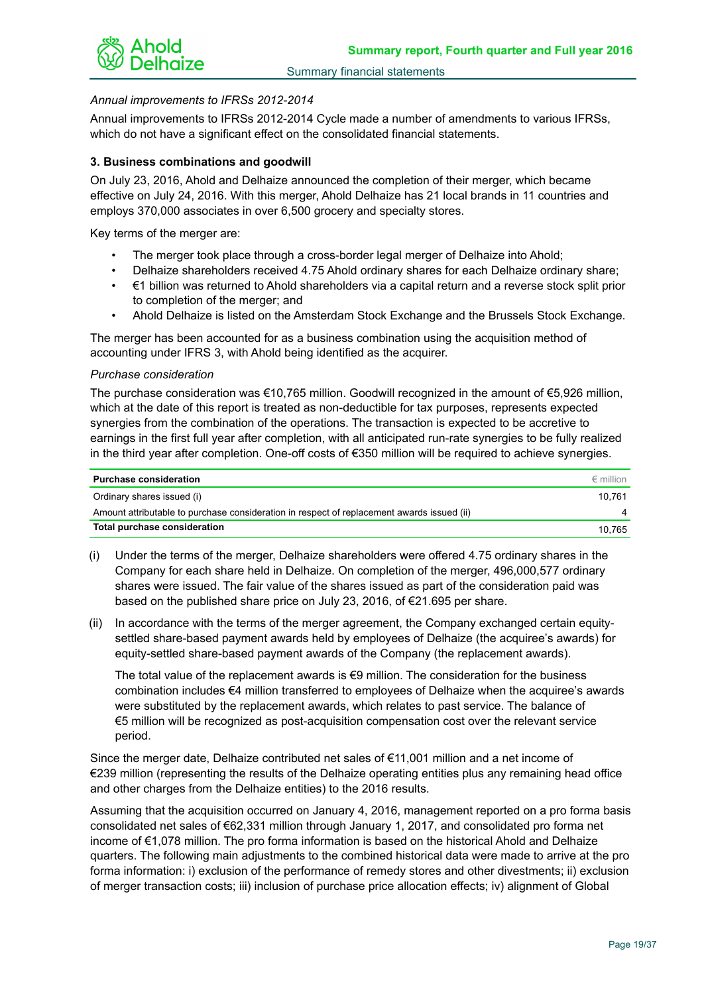

## *Annual improvements to IFRSs 2012-2014*

Annual improvements to IFRSs 2012-2014 Cycle made a number of amendments to various IFRSs, which do not have a significant effect on the consolidated financial statements.

## **3. Business combinations and goodwill**

On July 23, 2016, Ahold and Delhaize announced the completion of their merger, which became effective on July 24, 2016. With this merger, Ahold Delhaize has 21 local brands in 11 countries and employs 370,000 associates in over 6,500 grocery and specialty stores.

Key terms of the merger are:

- The merger took place through a cross-border legal merger of Delhaize into Ahold;
- Delhaize shareholders received 4.75 Ahold ordinary shares for each Delhaize ordinary share;
- €1 billion was returned to Ahold shareholders via a capital return and a reverse stock split prior to completion of the merger; and
- Ahold Delhaize is listed on the Amsterdam Stock Exchange and the Brussels Stock Exchange.

The merger has been accounted for as a business combination using the acquisition method of accounting under IFRS 3, with Ahold being identified as the acquirer.

## *Purchase consideration*

The purchase consideration was €10,765 million. Goodwill recognized in the amount of €5,926 million, which at the date of this report is treated as non-deductible for tax purposes, represents expected synergies from the combination of the operations. The transaction is expected to be accretive to earnings in the first full year after completion, with all anticipated run-rate synergies to be fully realized in the third year after completion. One-off costs of €350 million will be required to achieve synergies.

| <b>Purchase consideration</b>                                                              | $\epsilon$ million |
|--------------------------------------------------------------------------------------------|--------------------|
| Ordinary shares issued (i)                                                                 | 10.761             |
| Amount attributable to purchase consideration in respect of replacement awards issued (ii) |                    |
| Total purchase consideration                                                               | 10.765             |

- (i) Under the terms of the merger, Delhaize shareholders were offered 4.75 ordinary shares in the Company for each share held in Delhaize. On completion of the merger, 496,000,577 ordinary shares were issued. The fair value of the shares issued as part of the consideration paid was based on the published share price on July 23, 2016, of €21.695 per share.
- (ii) In accordance with the terms of the merger agreement, the Company exchanged certain equitysettled share-based payment awards held by employees of Delhaize (the acquiree's awards) for equity-settled share-based payment awards of the Company (the replacement awards).

The total value of the replacement awards is  $€9$  million. The consideration for the business combination includes €4 million transferred to employees of Delhaize when the acquiree's awards were substituted by the replacement awards, which relates to past service. The balance of €5 million will be recognized as post-acquisition compensation cost over the relevant service period.

Since the merger date, Delhaize contributed net sales of €11,001 million and a net income of €239 million (representing the results of the Delhaize operating entities plus any remaining head office and other charges from the Delhaize entities) to the 2016 results.

Assuming that the acquisition occurred on January 4, 2016, management reported on a pro forma basis consolidated net sales of €62,331 million through January 1, 2017, and consolidated pro forma net income of €1,078 million. The pro forma information is based on the historical Ahold and Delhaize quarters. The following main adjustments to the combined historical data were made to arrive at the pro forma information: i) exclusion of the performance of remedy stores and other divestments; ii) exclusion of merger transaction costs; iii) inclusion of purchase price allocation effects; iv) alignment of Global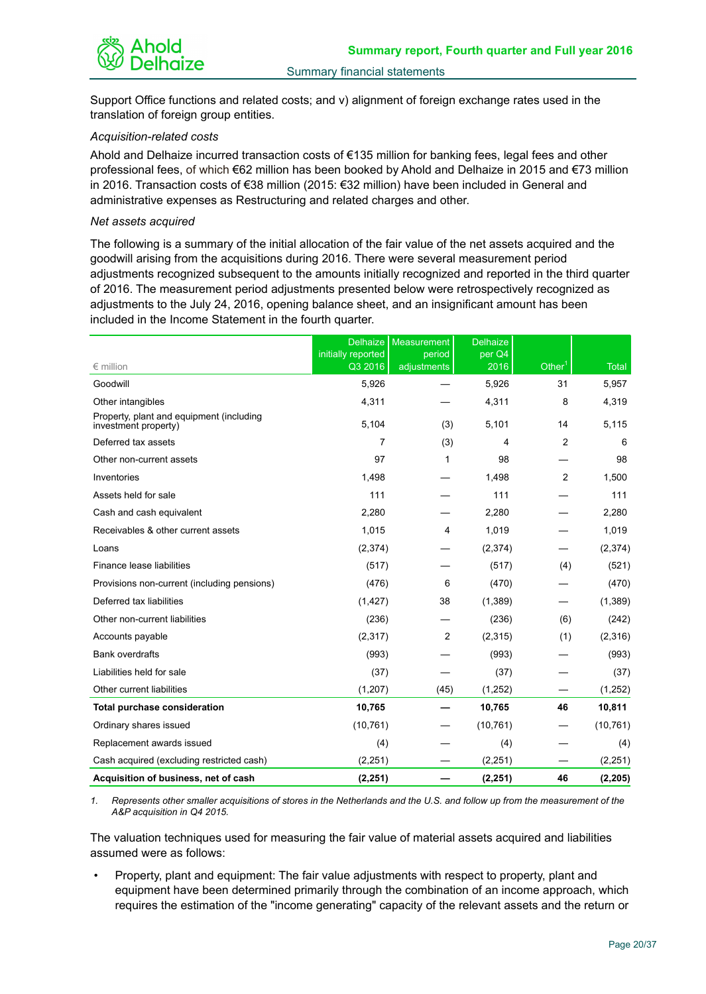

Support Office functions and related costs; and v) alignment of foreign exchange rates used in the translation of foreign group entities.

## *Acquisition-related costs*

Ahold and Delhaize incurred transaction costs of €135 million for banking fees, legal fees and other professional fees, of which €62 million has been booked by Ahold and Delhaize in 2015 and €73 million in 2016. Transaction costs of €38 million (2015: €32 million) have been included in General and administrative expenses as Restructuring and related charges and other.

## *Net assets acquired*

The following is a summary of the initial allocation of the fair value of the net assets acquired and the goodwill arising from the acquisitions during 2016. There were several measurement period adjustments recognized subsequent to the amounts initially recognized and reported in the third quarter of 2016. The measurement period adjustments presented below were retrospectively recognized as adjustments to the July 24, 2016, opening balance sheet, and an insignificant amount has been included in the Income Statement in the fourth quarter.

|                                                                  | <b>Delhaize</b>               | Measurement           | <b>Delhaize</b> |                    |              |
|------------------------------------------------------------------|-------------------------------|-----------------------|-----------------|--------------------|--------------|
| $\epsilon$ million                                               | initially reported<br>Q3 2016 | period<br>adjustments | per Q4<br>2016  | Other <sup>1</sup> | <b>Total</b> |
| Goodwill                                                         | 5.926                         |                       | 5.926           | 31                 | 5,957        |
| Other intangibles                                                | 4,311                         |                       | 4,311           | 8                  | 4,319        |
| Property, plant and equipment (including<br>investment property) | 5,104                         | (3)                   | 5,101           | 14                 | 5,115        |
| Deferred tax assets                                              | 7                             | (3)                   | 4               | $\overline{2}$     | 6            |
| Other non-current assets                                         | 97                            | 1                     | 98              |                    | 98           |
| Inventories                                                      | 1,498                         |                       | 1,498           | $\overline{2}$     | 1,500        |
| Assets held for sale                                             | 111                           |                       | 111             |                    | 111          |
| Cash and cash equivalent                                         | 2,280                         |                       | 2,280           |                    | 2,280        |
| Receivables & other current assets                               | 1,015                         | 4                     | 1,019           |                    | 1,019        |
| Loans                                                            | (2,374)                       |                       | (2,374)         |                    | (2,374)      |
| Finance lease liabilities                                        | (517)                         |                       | (517)           | (4)                | (521)        |
| Provisions non-current (including pensions)                      | (476)                         | 6                     | (470)           |                    | (470)        |
| Deferred tax liabilities                                         | (1, 427)                      | 38                    | (1,389)         |                    | (1,389)      |
| Other non-current liabilities                                    | (236)                         |                       | (236)           | (6)                | (242)        |
| Accounts payable                                                 | (2, 317)                      | 2                     | (2,315)         | (1)                | (2,316)      |
| <b>Bank overdrafts</b>                                           | (993)                         |                       | (993)           |                    | (993)        |
| Liabilities held for sale                                        | (37)                          |                       | (37)            |                    | (37)         |
| Other current liabilities                                        | (1,207)                       | (45)                  | (1,252)         |                    | (1,252)      |
| <b>Total purchase consideration</b>                              | 10,765                        |                       | 10,765          | 46                 | 10,811       |
| Ordinary shares issued                                           | (10, 761)                     |                       | (10, 761)       |                    | (10, 761)    |
| Replacement awards issued                                        | (4)                           |                       | (4)             |                    | (4)          |
| Cash acquired (excluding restricted cash)                        | (2, 251)                      |                       | (2, 251)        |                    | (2, 251)     |
| Acquisition of business, net of cash                             | (2, 251)                      |                       | (2, 251)        | 46                 | (2, 205)     |

*1. Represents other smaller acquisitions of stores in the Netherlands and the U.S. and follow up from the measurement of the A&P acquisition in Q4 2015.*

The valuation techniques used for measuring the fair value of material assets acquired and liabilities assumed were as follows:

• Property, plant and equipment: The fair value adjustments with respect to property, plant and equipment have been determined primarily through the combination of an income approach, which requires the estimation of the "income generating" capacity of the relevant assets and the return or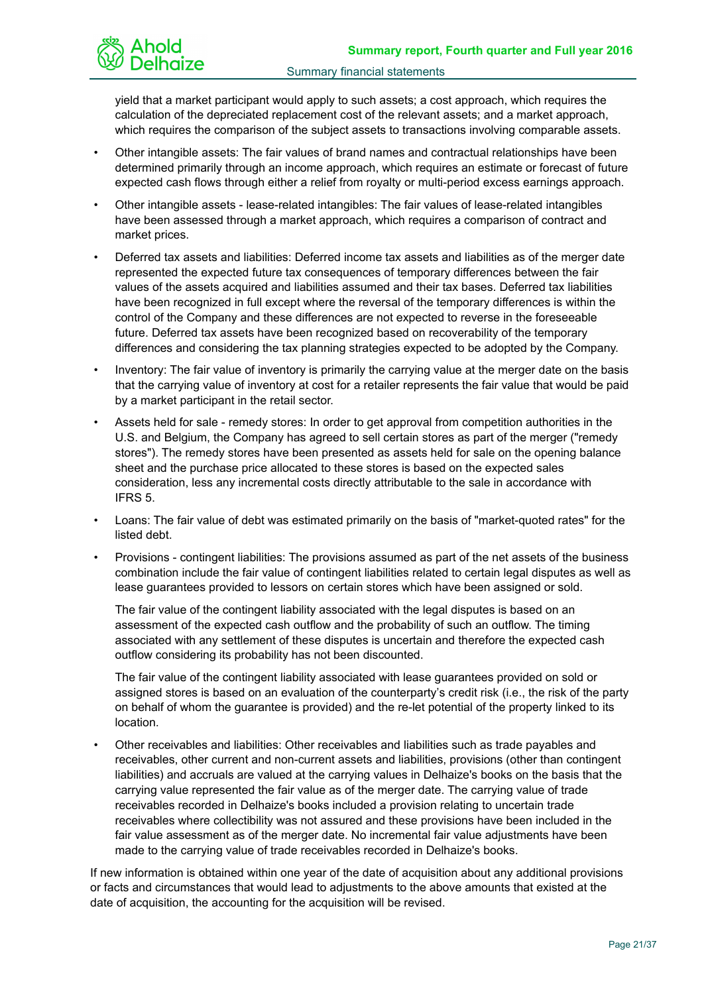

yield that a market participant would apply to such assets; a cost approach, which requires the calculation of the depreciated replacement cost of the relevant assets; and a market approach, which requires the comparison of the subject assets to transactions involving comparable assets.

- Other intangible assets: The fair values of brand names and contractual relationships have been determined primarily through an income approach, which requires an estimate or forecast of future expected cash flows through either a relief from royalty or multi-period excess earnings approach.
- Other intangible assets lease-related intangibles: The fair values of lease-related intangibles have been assessed through a market approach, which requires a comparison of contract and market prices.
- Deferred tax assets and liabilities: Deferred income tax assets and liabilities as of the merger date represented the expected future tax consequences of temporary differences between the fair values of the assets acquired and liabilities assumed and their tax bases. Deferred tax liabilities have been recognized in full except where the reversal of the temporary differences is within the control of the Company and these differences are not expected to reverse in the foreseeable future. Deferred tax assets have been recognized based on recoverability of the temporary differences and considering the tax planning strategies expected to be adopted by the Company.
- Inventory: The fair value of inventory is primarily the carrying value at the merger date on the basis that the carrying value of inventory at cost for a retailer represents the fair value that would be paid by a market participant in the retail sector.
- Assets held for sale remedy stores: In order to get approval from competition authorities in the U.S. and Belgium, the Company has agreed to sell certain stores as part of the merger ("remedy stores"). The remedy stores have been presented as assets held for sale on the opening balance sheet and the purchase price allocated to these stores is based on the expected sales consideration, less any incremental costs directly attributable to the sale in accordance with IFRS 5.
- Loans: The fair value of debt was estimated primarily on the basis of "market-quoted rates" for the listed debt.
- Provisions contingent liabilities: The provisions assumed as part of the net assets of the business combination include the fair value of contingent liabilities related to certain legal disputes as well as lease guarantees provided to lessors on certain stores which have been assigned or sold.

The fair value of the contingent liability associated with the legal disputes is based on an assessment of the expected cash outflow and the probability of such an outflow. The timing associated with any settlement of these disputes is uncertain and therefore the expected cash outflow considering its probability has not been discounted.

The fair value of the contingent liability associated with lease guarantees provided on sold or assigned stores is based on an evaluation of the counterparty's credit risk (i.e., the risk of the party on behalf of whom the guarantee is provided) and the re-let potential of the property linked to its location.

• Other receivables and liabilities: Other receivables and liabilities such as trade payables and receivables, other current and non-current assets and liabilities, provisions (other than contingent liabilities) and accruals are valued at the carrying values in Delhaize's books on the basis that the carrying value represented the fair value as of the merger date. The carrying value of trade receivables recorded in Delhaize's books included a provision relating to uncertain trade receivables where collectibility was not assured and these provisions have been included in the fair value assessment as of the merger date. No incremental fair value adjustments have been made to the carrying value of trade receivables recorded in Delhaize's books.

If new information is obtained within one year of the date of acquisition about any additional provisions or facts and circumstances that would lead to adjustments to the above amounts that existed at the date of acquisition, the accounting for the acquisition will be revised.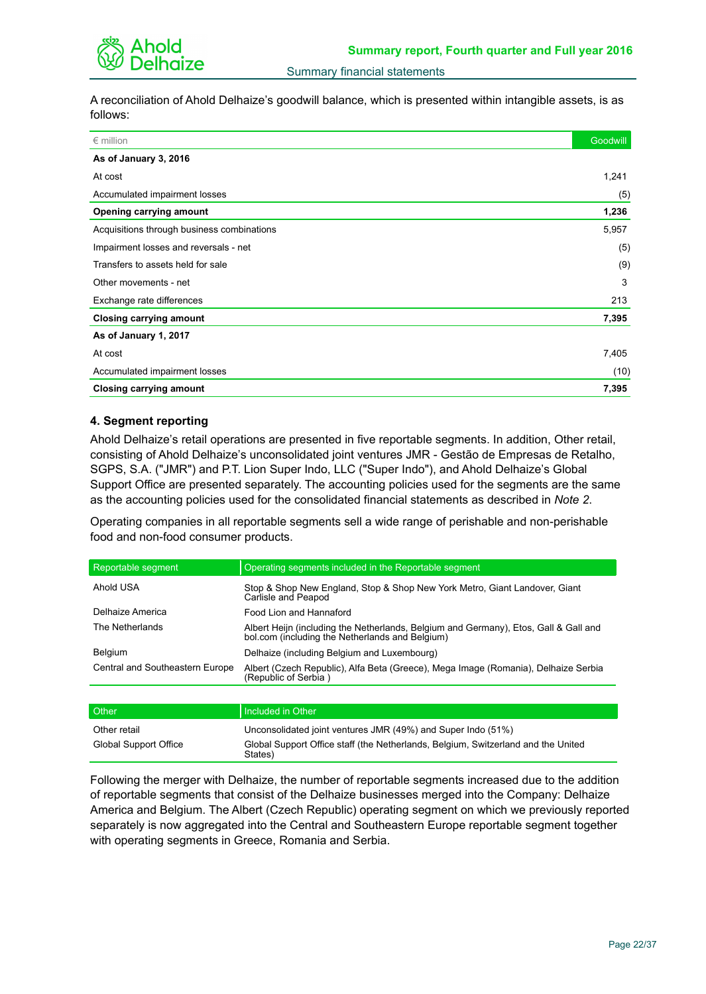

A reconciliation of Ahold Delhaize's goodwill balance, which is presented within intangible assets, is as follows:

| $\epsilon$ million                         | Goodwill |
|--------------------------------------------|----------|
| As of January 3, 2016                      |          |
| At cost                                    | 1,241    |
| Accumulated impairment losses              | (5)      |
| <b>Opening carrying amount</b>             | 1,236    |
| Acquisitions through business combinations | 5,957    |
| Impairment losses and reversals - net      | (5)      |
| Transfers to assets held for sale          | (9)      |
| Other movements - net                      | 3        |
| Exchange rate differences                  | 213      |
| <b>Closing carrying amount</b>             | 7,395    |
| As of January 1, 2017                      |          |
| At cost                                    | 7,405    |
| Accumulated impairment losses              | (10)     |
| <b>Closing carrying amount</b>             | 7,395    |

## **4. Segment reporting**

Ahold Delhaize's retail operations are presented in five reportable segments. In addition, Other retail, consisting of Ahold Delhaize's unconsolidated joint ventures JMR - Gestão de Empresas de Retalho, SGPS, S.A. ("JMR") and P.T. Lion Super Indo, LLC ("Super Indo"), and Ahold Delhaize's Global Support Office are presented separately. The accounting policies used for the segments are the same as the accounting policies used for the consolidated financial statements as described in *Note 2*.

Operating companies in all reportable segments sell a wide range of perishable and non-perishable food and non-food consumer products.

| Reportable segment              | Operating segments included in the Reportable segment                                                                                   |
|---------------------------------|-----------------------------------------------------------------------------------------------------------------------------------------|
| Ahold USA                       | Stop & Shop New England, Stop & Shop New York Metro, Giant Landover, Giant<br>Carlisle and Peapod                                       |
| Delhaize America                | Food Lion and Hannaford                                                                                                                 |
| The Netherlands                 | Albert Heijn (including the Netherlands, Belgium and Germany), Etos, Gall & Gall and<br>bol.com (including the Netherlands and Belgium) |
| <b>Belgium</b>                  | Delhaize (including Belgium and Luxembourg)                                                                                             |
| Central and Southeastern Europe | Albert (Czech Republic), Alfa Beta (Greece), Mega Image (Romania), Delhaize Serbia<br>(Republic of Serbia)                              |
|                                 |                                                                                                                                         |

| <b>Other</b>                          | I Included in Other                                                                                                                                          |
|---------------------------------------|--------------------------------------------------------------------------------------------------------------------------------------------------------------|
| Other retail<br>Global Support Office | Unconsolidated joint ventures JMR (49%) and Super Indo (51%)<br>Global Support Office staff (the Netherlands, Belgium, Switzerland and the United<br>States) |

Following the merger with Delhaize, the number of reportable segments increased due to the addition of reportable segments that consist of the Delhaize businesses merged into the Company: Delhaize America and Belgium. The Albert (Czech Republic) operating segment on which we previously reported separately is now aggregated into the Central and Southeastern Europe reportable segment together with operating segments in Greece, Romania and Serbia.

۰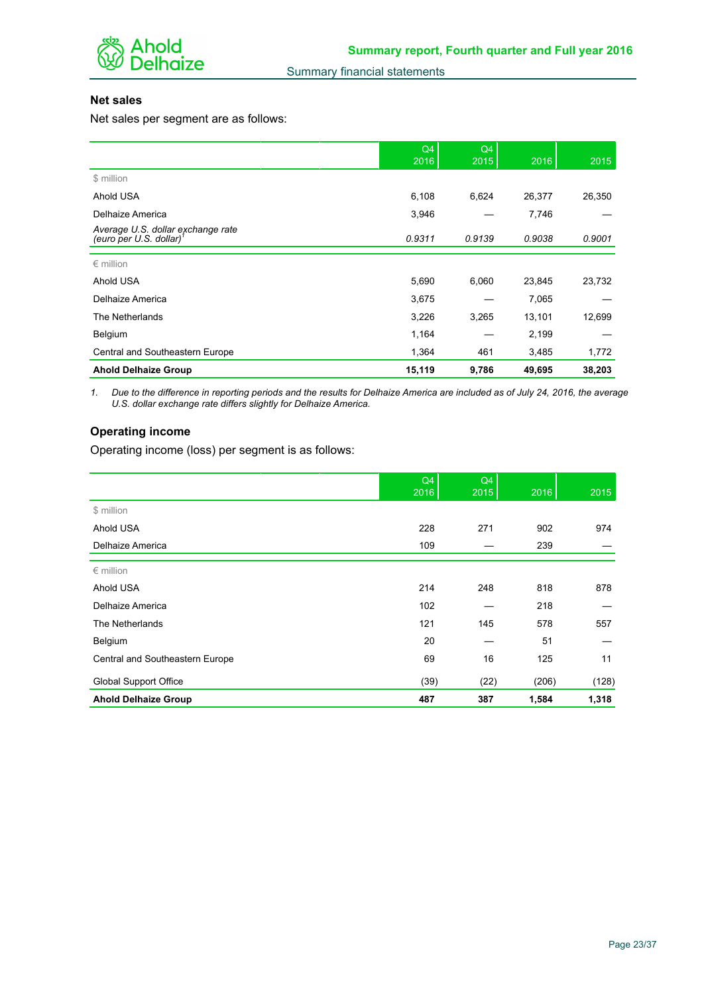

## **Net sales**

Net sales per segment are as follows:

|                                                                          | Q4<br>2016 | Q4<br>2015 | 2016   | 2015   |
|--------------------------------------------------------------------------|------------|------------|--------|--------|
| \$ million                                                               |            |            |        |        |
| Ahold USA                                                                | 6,108      | 6,624      | 26,377 | 26,350 |
| Delhaize America                                                         | 3,946      |            | 7,746  |        |
| Average U.S. dollar exchange rate<br>(euro per U.S. dollar) <sup>1</sup> | 0.9311     | 0.9139     | 0.9038 | 0.9001 |
|                                                                          |            |            |        |        |
| $\epsilon$ million                                                       |            |            |        |        |
| Ahold USA                                                                | 5,690      | 6,060      | 23,845 | 23,732 |
| Delhaize America                                                         | 3,675      |            | 7,065  |        |
| The Netherlands                                                          | 3,226      | 3,265      | 13,101 | 12,699 |
| Belgium                                                                  | 1,164      |            | 2,199  |        |
| Central and Southeastern Europe                                          | 1,364      | 461        | 3,485  | 1,772  |
| <b>Ahold Delhaize Group</b>                                              | 15,119     | 9,786      | 49,695 | 38,203 |

*1. Due to the difference in reporting periods and the results for Delhaize America are included as of July 24, 2016, the average U.S. dollar exchange rate differs slightly for Delhaize America.*

## **Operating income**

Operating income (loss) per segment is as follows:

|                                 | Q4<br>2016 | Q4<br>2015 | 2016  | 2015  |
|---------------------------------|------------|------------|-------|-------|
| \$ million                      |            |            |       |       |
| Ahold USA                       | 228        | 271        | 902   | 974   |
| Delhaize America                | 109        |            | 239   |       |
| $\epsilon$ million              |            |            |       |       |
| Ahold USA                       | 214        | 248        | 818   | 878   |
| Delhaize America                | 102        |            | 218   |       |
| The Netherlands                 | 121        | 145        | 578   | 557   |
| Belgium                         | 20         |            | 51    |       |
| Central and Southeastern Europe | 69         | 16         | 125   | 11    |
| <b>Global Support Office</b>    | (39)       | (22)       | (206) | (128) |
| <b>Ahold Delhaize Group</b>     | 487        | 387        | 1,584 | 1,318 |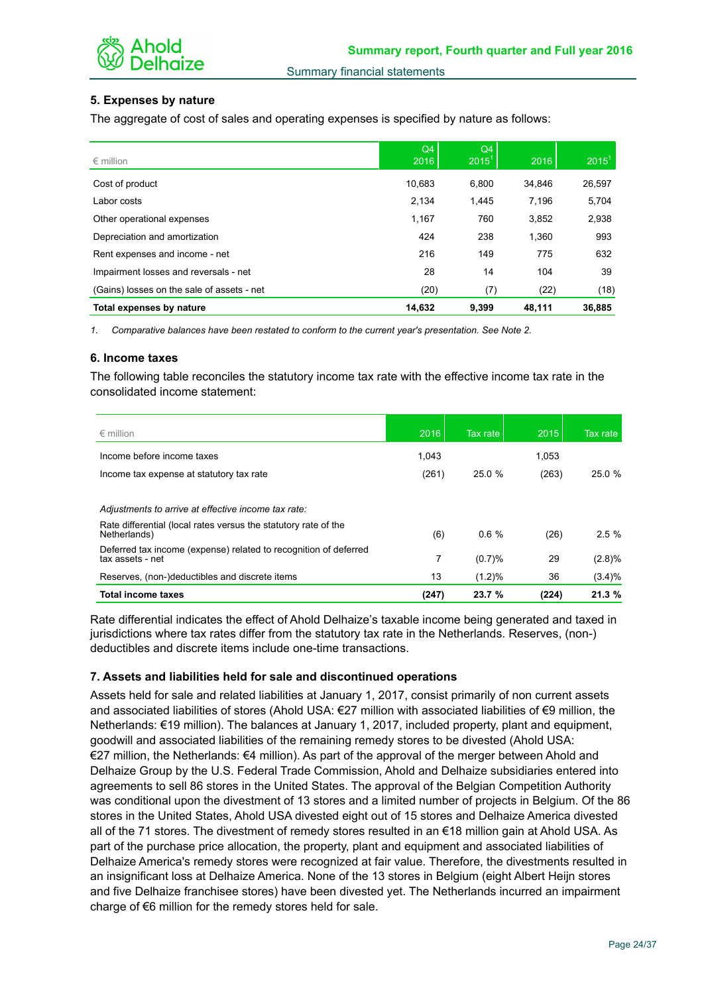

## **5. Expenses by nature**

The aggregate of cost of sales and operating expenses is specified by nature as follows:

| $\epsilon$ million                         | Q4<br>2016 | Q4<br>$2015^{\circ}$ | 2016   | 2015 <sup>1</sup> |
|--------------------------------------------|------------|----------------------|--------|-------------------|
| Cost of product                            | 10.683     | 6,800                | 34.846 | 26,597            |
| Labor costs                                | 2,134      | 1.445                | 7.196  | 5,704             |
| Other operational expenses                 | 1,167      | 760                  | 3,852  | 2,938             |
| Depreciation and amortization              | 424        | 238                  | 1.360  | 993               |
| Rent expenses and income - net             | 216        | 149                  | 775    | 632               |
| Impairment losses and reversals - net      | 28         | 14                   | 104    | 39                |
| (Gains) losses on the sale of assets - net | (20)       | (7)                  | (22)   | (18)              |
| Total expenses by nature                   | 14,632     | 9.399                | 48,111 | 36,885            |

*1. Comparative balances have been restated to conform to the current year's presentation. See Note 2.*

#### **6. Income taxes**

The following table reconciles the statutory income tax rate with the effective income tax rate in the consolidated income statement:

| $\epsilon$ million                                                                   | 2016  | Tax rate  | 2015  | Tax rate |
|--------------------------------------------------------------------------------------|-------|-----------|-------|----------|
| Income before income taxes                                                           | 1.043 |           | 1.053 |          |
| Income tax expense at statutory tax rate                                             | (261) | 25.0 %    | (263) | 25.0%    |
| Adjustments to arrive at effective income tax rate:                                  |       |           |       |          |
| Rate differential (local rates versus the statutory rate of the<br>Netherlands)      | (6)   | 0.6%      | (26)  | $2.5 \%$ |
| Deferred tax income (expense) related to recognition of deferred<br>tax assets - net | 7     | (0.7)%    | 29    | (2.8)%   |
| Reserves, (non-)deductibles and discrete items                                       | 13    | $(1.2)\%$ | 36    | (3.4)%   |
| Total income taxes                                                                   | (247) | 23.7%     | (224) | 21.3%    |

Rate differential indicates the effect of Ahold Delhaize's taxable income being generated and taxed in jurisdictions where tax rates differ from the statutory tax rate in the Netherlands. Reserves, (non-) deductibles and discrete items include one-time transactions.

## **7. Assets and liabilities held for sale and discontinued operations**

Assets held for sale and related liabilities at January 1, 2017, consist primarily of non current assets and associated liabilities of stores (Ahold USA: €27 million with associated liabilities of €9 million, the Netherlands: €19 million). The balances at January 1, 2017, included property, plant and equipment, goodwill and associated liabilities of the remaining remedy stores to be divested (Ahold USA: €27 million, the Netherlands: €4 million). As part of the approval of the merger between Ahold and Delhaize Group by the U.S. Federal Trade Commission, Ahold and Delhaize subsidiaries entered into agreements to sell 86 stores in the United States. The approval of the Belgian Competition Authority was conditional upon the divestment of 13 stores and a limited number of projects in Belgium. Of the 86 stores in the United States, Ahold USA divested eight out of 15 stores and Delhaize America divested all of the 71 stores. The divestment of remedy stores resulted in an €18 million gain at Ahold USA. As part of the purchase price allocation, the property, plant and equipment and associated liabilities of Delhaize America's remedy stores were recognized at fair value. Therefore, the divestments resulted in an insignificant loss at Delhaize America. None of the 13 stores in Belgium (eight Albert Heijn stores and five Delhaize franchisee stores) have been divested yet. The Netherlands incurred an impairment charge of €6 million for the remedy stores held for sale.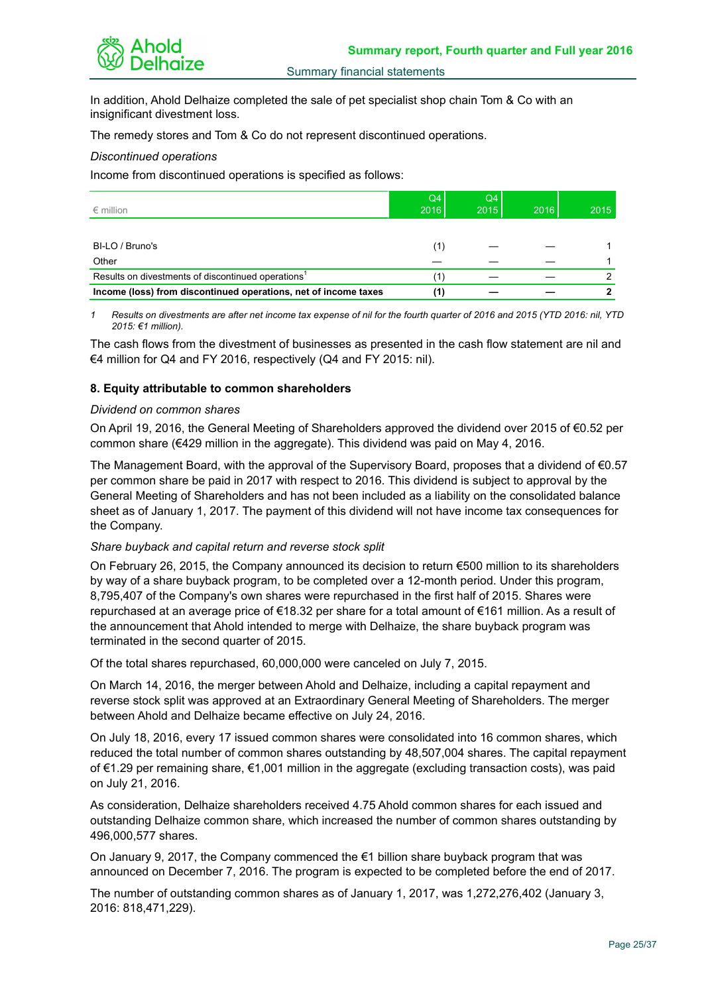

In addition, Ahold Delhaize completed the sale of pet specialist shop chain Tom & Co with an insignificant divestment loss.

The remedy stores and Tom & Co do not represent discontinued operations.

*Discontinued operations*

Income from discontinued operations is specified as follows:

| $\epsilon$ million                                              | Q4<br>2016 | Q4<br>2015 | 2016 | 2015 |
|-----------------------------------------------------------------|------------|------------|------|------|
|                                                                 |            |            |      |      |
| BI-LO / Bruno's                                                 | (1)        |            |      |      |
| Other                                                           |            |            |      |      |
| Results on divestments of discontinued operations <sup>1</sup>  | 11         |            |      |      |
| Income (loss) from discontinued operations, net of income taxes | (1)        |            |      |      |

*1 Results on divestments are after net income tax expense of nil for the fourth quarter of 2016 and 2015 (YTD 2016: nil, YTD 2015: €1 million).*

The cash flows from the divestment of businesses as presented in the cash flow statement are nil and €4 million for Q4 and FY 2016, respectively (Q4 and FY 2015: nil).

## **8. Equity attributable to common shareholders**

#### *Dividend on common shares*

On April 19, 2016, the General Meeting of Shareholders approved the dividend over 2015 of €0.52 per common share ( $\epsilon$ 429 million in the aggregate). This dividend was paid on May 4, 2016.

The Management Board, with the approval of the Supervisory Board, proposes that a dividend of  $\epsilon$ 0.57 per common share be paid in 2017 with respect to 2016. This dividend is subject to approval by the General Meeting of Shareholders and has not been included as a liability on the consolidated balance sheet as of January 1, 2017. The payment of this dividend will not have income tax consequences for the Company.

## *Share buyback and capital return and reverse stock split*

On February 26, 2015, the Company announced its decision to return  $\epsilon$ 500 million to its shareholders by way of a share buyback program, to be completed over a 12-month period. Under this program, 8,795,407 of the Company's own shares were repurchased in the first half of 2015. Shares were repurchased at an average price of €18.32 per share for a total amount of €161 million. As a result of the announcement that Ahold intended to merge with Delhaize, the share buyback program was terminated in the second quarter of 2015.

Of the total shares repurchased, 60,000,000 were canceled on July 7, 2015.

On March 14, 2016, the merger between Ahold and Delhaize, including a capital repayment and reverse stock split was approved at an Extraordinary General Meeting of Shareholders. The merger between Ahold and Delhaize became effective on July 24, 2016.

On July 18, 2016, every 17 issued common shares were consolidated into 16 common shares, which reduced the total number of common shares outstanding by 48,507,004 shares. The capital repayment of €1.29 per remaining share, €1,001 million in the aggregate (excluding transaction costs), was paid on July 21, 2016.

As consideration, Delhaize shareholders received 4.75 Ahold common shares for each issued and outstanding Delhaize common share, which increased the number of common shares outstanding by 496,000,577 shares.

On January 9, 2017, the Company commenced the €1 billion share buyback program that was announced on December 7, 2016. The program is expected to be completed before the end of 2017.

The number of outstanding common shares as of January 1, 2017, was 1,272,276,402 (January 3, 2016: 818,471,229).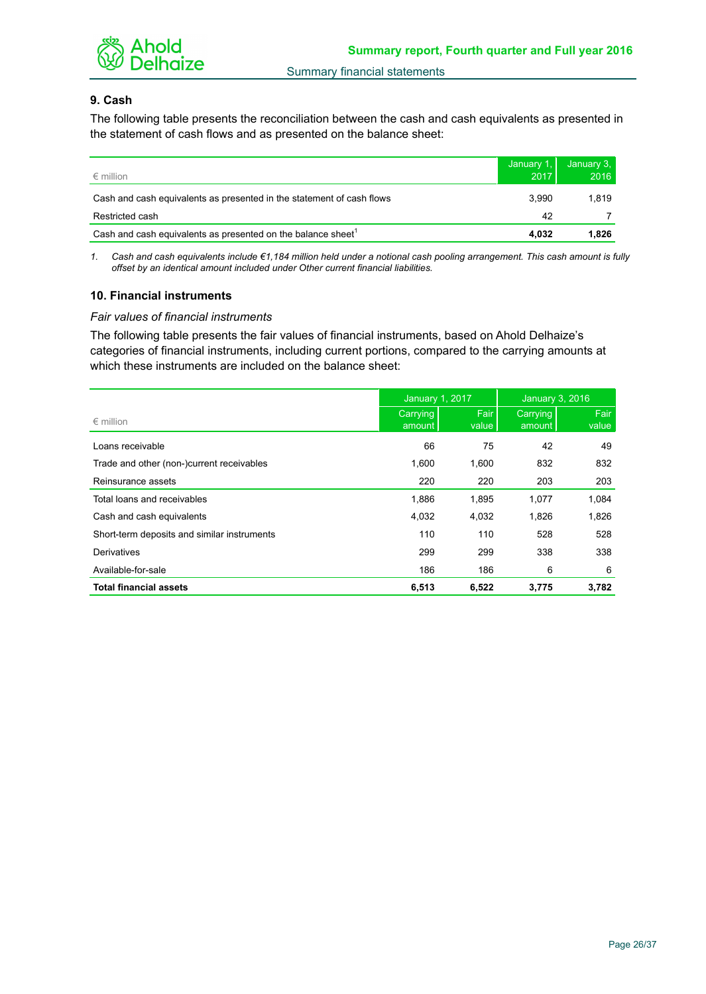

## **9. Cash**

The following table presents the reconciliation between the cash and cash equivalents as presented in the statement of cash flows and as presented on the balance sheet:

| $\epsilon$ million                                                       | January 1,<br>2017 | January 3.<br>2016 |
|--------------------------------------------------------------------------|--------------------|--------------------|
| Cash and cash equivalents as presented in the statement of cash flows    | 3.990              | 1.819              |
| Restricted cash                                                          | 42                 |                    |
| Cash and cash equivalents as presented on the balance sheet <sup>1</sup> | 4.032              | 1,826              |

*1. Cash and cash equivalents include €1,184 million held under a notional cash pooling arrangement. This cash amount is fully offset by an identical amount included under Other current financial liabilities.*

## **10. Financial instruments**

## *Fair values of financial instruments*

The following table presents the fair values of financial instruments, based on Ahold Delhaize's categories of financial instruments, including current portions, compared to the carrying amounts at which these instruments are included on the balance sheet:

|                                             | January 1, 2017    |               | <b>January 3, 2016</b> |               |
|---------------------------------------------|--------------------|---------------|------------------------|---------------|
| $\epsilon$ million                          | Carrying<br>amount | Fair<br>value | Carrying<br>amount     | Fair<br>value |
| Loans receivable                            | 66                 | 75            | 42                     | 49            |
| Trade and other (non-)current receivables   | 1,600              | 1,600         | 832                    | 832           |
| Reinsurance assets                          | 220                | 220           | 203                    | 203           |
| Total loans and receivables                 | 1,886              | 1,895         | 1,077                  | 1,084         |
| Cash and cash equivalents                   | 4,032              | 4,032         | 1,826                  | 1,826         |
| Short-term deposits and similar instruments | 110                | 110           | 528                    | 528           |
| Derivatives                                 | 299                | 299           | 338                    | 338           |
| Available-for-sale                          | 186                | 186           | 6                      | 6             |
| <b>Total financial assets</b>               | 6,513              | 6,522         | 3,775                  | 3,782         |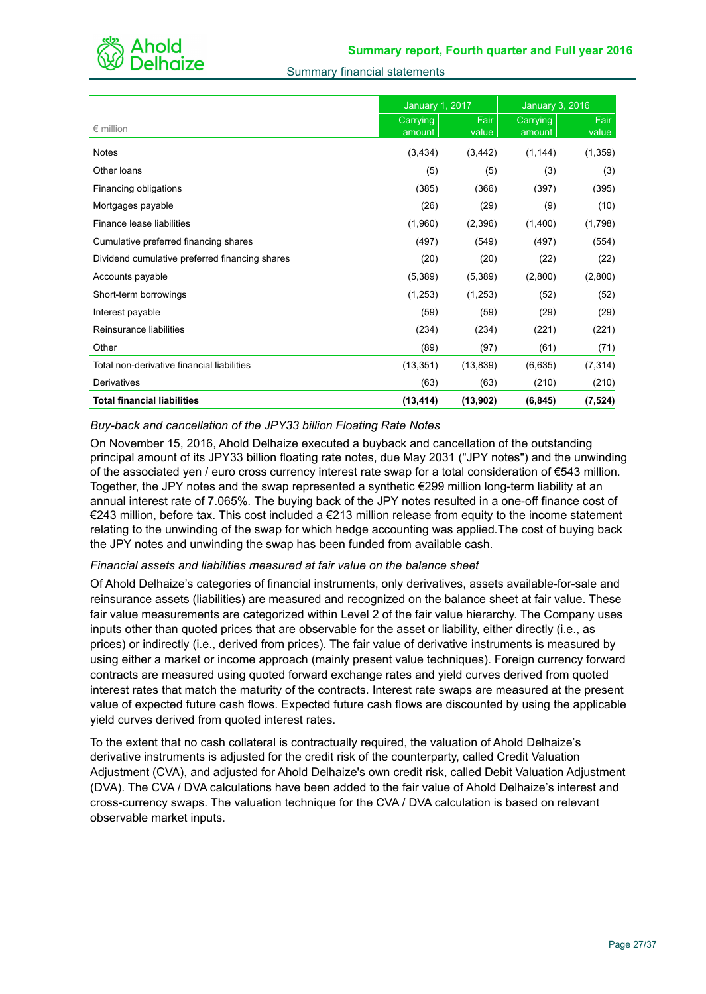

|  |  | <b>Summary financial statements</b> |
|--|--|-------------------------------------|
|--|--|-------------------------------------|

|                                                | January 1, 2017    |               | <b>January 3, 2016</b> |               |  |
|------------------------------------------------|--------------------|---------------|------------------------|---------------|--|
| $\epsilon$ million                             | Carrying<br>amount | Fair<br>value | Carrying<br>amount     | Fair<br>value |  |
| <b>Notes</b>                                   | (3, 434)           | (3, 442)      | (1, 144)               | (1, 359)      |  |
| Other loans                                    | (5)                | (5)           | (3)                    | (3)           |  |
| Financing obligations                          | (385)              | (366)         | (397)                  | (395)         |  |
| Mortgages payable                              | (26)               | (29)          | (9)                    | (10)          |  |
| Finance lease liabilities                      | (1,960)            | (2,396)       | (1,400)                | (1,798)       |  |
| Cumulative preferred financing shares          | (497)              | (549)         | (497)                  | (554)         |  |
| Dividend cumulative preferred financing shares | (20)               | (20)          | (22)                   | (22)          |  |
| Accounts payable                               | (5,389)            | (5,389)       | (2,800)                | (2,800)       |  |
| Short-term borrowings                          | (1,253)            | (1,253)       | (52)                   | (52)          |  |
| Interest payable                               | (59)               | (59)          | (29)                   | (29)          |  |
| Reinsurance liabilities                        | (234)              | (234)         | (221)                  | (221)         |  |
| Other                                          | (89)               | (97)          | (61)                   | (71)          |  |
| Total non-derivative financial liabilities     | (13, 351)          | (13, 839)     | (6,635)                | (7, 314)      |  |
| Derivatives                                    | (63)               | (63)          | (210)                  | (210)         |  |
| <b>Total financial liabilities</b>             | (13, 414)          | (13,902)      | (6, 845)               | (7, 524)      |  |

## *Buy-back and cancellation of the JPY33 billion Floating Rate Notes*

On November 15, 2016, Ahold Delhaize executed a buyback and cancellation of the outstanding principal amount of its JPY33 billion floating rate notes, due May 2031 ("JPY notes") and the unwinding of the associated yen / euro cross currency interest rate swap for a total consideration of €543 million. Together, the JPY notes and the swap represented a synthetic €299 million long-term liability at an annual interest rate of 7.065%*.* The buying back of the JPY notes resulted in a one-off finance cost of €243 million, before tax. This cost included a €213 million release from equity to the income statement relating to the unwinding of the swap for which hedge accounting was applied*.*The cost of buying back the JPY notes and unwinding the swap has been funded from available cash.

## *Financial assets and liabilities measured at fair value on the balance sheet*

Of Ahold Delhaize's categories of financial instruments, only derivatives, assets available-for-sale and reinsurance assets (liabilities) are measured and recognized on the balance sheet at fair value. These fair value measurements are categorized within Level 2 of the fair value hierarchy. The Company uses inputs other than quoted prices that are observable for the asset or liability, either directly (i.e., as prices) or indirectly (i.e., derived from prices). The fair value of derivative instruments is measured by using either a market or income approach (mainly present value techniques). Foreign currency forward contracts are measured using quoted forward exchange rates and yield curves derived from quoted interest rates that match the maturity of the contracts. Interest rate swaps are measured at the present value of expected future cash flows. Expected future cash flows are discounted by using the applicable yield curves derived from quoted interest rates.

To the extent that no cash collateral is contractually required, the valuation of Ahold Delhaize's derivative instruments is adjusted for the credit risk of the counterparty, called Credit Valuation Adjustment (CVA), and adjusted for Ahold Delhaize's own credit risk, called Debit Valuation Adjustment (DVA). The CVA / DVA calculations have been added to the fair value of Ahold Delhaize's interest and cross-currency swaps. The valuation technique for the CVA / DVA calculation is based on relevant observable market inputs.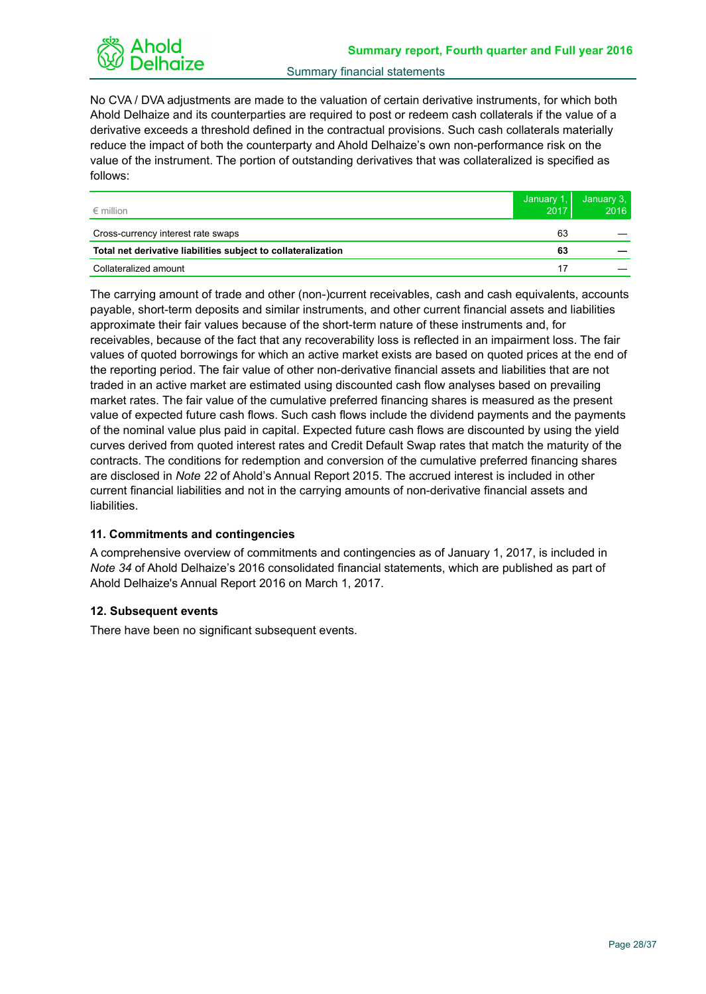No CVA / DVA adjustments are made to the valuation of certain derivative instruments, for which both Ahold Delhaize and its counterparties are required to post or redeem cash collaterals if the value of a derivative exceeds a threshold defined in the contractual provisions. Such cash collaterals materially reduce the impact of both the counterparty and Ahold Delhaize's own non-performance risk on the value of the instrument. The portion of outstanding derivatives that was collateralized is specified as follows:

| $\epsilon$ million                                            | January 1,<br>2017 | January $3,$<br>2016 |
|---------------------------------------------------------------|--------------------|----------------------|
| Cross-currency interest rate swaps                            | 63                 |                      |
| Total net derivative liabilities subject to collateralization | 63                 |                      |
| Collateralized amount                                         |                    |                      |

The carrying amount of trade and other (non-)current receivables, cash and cash equivalents, accounts payable, short-term deposits and similar instruments, and other current financial assets and liabilities approximate their fair values because of the short-term nature of these instruments and, for receivables, because of the fact that any recoverability loss is reflected in an impairment loss. The fair values of quoted borrowings for which an active market exists are based on quoted prices at the end of the reporting period. The fair value of other non-derivative financial assets and liabilities that are not traded in an active market are estimated using discounted cash flow analyses based on prevailing market rates. The fair value of the cumulative preferred financing shares is measured as the present value of expected future cash flows. Such cash flows include the dividend payments and the payments of the nominal value plus paid in capital. Expected future cash flows are discounted by using the yield curves derived from quoted interest rates and Credit Default Swap rates that match the maturity of the contracts. The conditions for redemption and conversion of the cumulative preferred financing shares are disclosed in *Note 22* of Ahold's Annual Report 2015. The accrued interest is included in other current financial liabilities and not in the carrying amounts of non-derivative financial assets and liabilities.

## **11. Commitments and contingencies**

A comprehensive overview of commitments and contingencies as of January 1, 2017, is included in *Note 34* of Ahold Delhaize's 2016 consolidated financial statements, which are published as part of Ahold Delhaize's Annual Report 2016 on March 1, 2017.

## **12. Subsequent events**

There have been no significant subsequent events.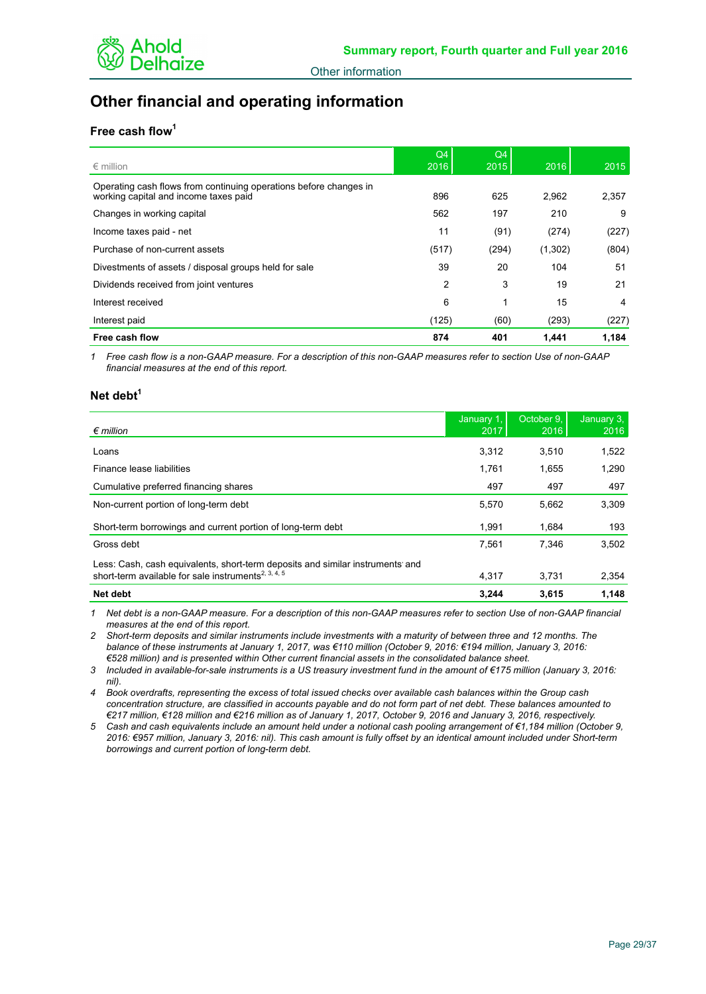

# **Other financial and operating information**

## **Free cash flow<sup>1</sup>**

| $\epsilon$ million                                                                                         | Q <sub>4</sub><br>2016 | Q4<br>2015 | 2016    | 2015  |
|------------------------------------------------------------------------------------------------------------|------------------------|------------|---------|-------|
| Operating cash flows from continuing operations before changes in<br>working capital and income taxes paid | 896                    | 625        | 2.962   | 2,357 |
| Changes in working capital                                                                                 | 562                    | 197        | 210     | 9     |
| Income taxes paid - net                                                                                    | 11                     | (91)       | (274)   | (227) |
| Purchase of non-current assets                                                                             | (517)                  | (294)      | (1,302) | (804) |
| Divestments of assets / disposal groups held for sale                                                      | 39                     | 20         | 104     | 51    |
| Dividends received from joint ventures                                                                     | 2                      | 3          | 19      | 21    |
| Interest received                                                                                          | 6                      | 1          | 15      | 4     |
| Interest paid                                                                                              | (125)                  | (60)       | (293)   | (227) |
| Free cash flow                                                                                             | 874                    | 401        | 1.441   | 1.184 |

*1 Free cash flow is a non-GAAP measure. For a description of this non-GAAP measures refer to section Use of non-GAAP financial measures at the end of this report.*

## **Net debt<sup>1</sup>**

| $\epsilon$ million                                                                                                                               | January 1,<br>2017 | October 9.<br>2016 | January $3,$<br>2016 |
|--------------------------------------------------------------------------------------------------------------------------------------------------|--------------------|--------------------|----------------------|
| Loans                                                                                                                                            | 3,312              | 3,510              | 1,522                |
| Finance lease liabilities                                                                                                                        | 1.761              | 1,655              | 1,290                |
| Cumulative preferred financing shares                                                                                                            | 497                | 497                | 497                  |
| Non-current portion of long-term debt                                                                                                            | 5.570              | 5,662              | 3,309                |
| Short-term borrowings and current portion of long-term debt                                                                                      | 1.991              | 1.684              | 193                  |
| Gross debt                                                                                                                                       | 7.561              | 7.346              | 3.502                |
| Less: Cash, cash equivalents, short-term deposits and similar instruments and<br>short-term available for sale instruments <sup>2, 3, 4, 5</sup> | 4,317              | 3,731              | 2,354                |
| Net debt                                                                                                                                         | 3.244              | 3.615              | 1,148                |

*1 Net debt is a non-GAAP measure. For a description of this non-GAAP measures refer to section Use of non-GAAP financial measures at the end of this report.*

*2 Short-term deposits and similar instruments include investments with a maturity of between three and 12 months. The balance of these instruments at January 1, 2017, was €110 million (October 9, 2016: €194 million, January 3, 2016: €528 million) and is presented within Other current financial assets in the consolidated balance sheet.*

*3 Included in available-for-sale instruments is a US treasury investment fund in the amount of €175 million (January 3, 2016: nil).*

*4 Book overdrafts, representing the excess of total issued checks over available cash balances within the Group cash concentration structure, are classified in accounts payable and do not form part of net debt. These balances amounted to €217 million, €128 million and €216 million as of January 1, 2017, October 9, 2016 and January 3, 2016, respectively.*

*5 Cash and cash equivalents include an amount held under a notional cash pooling arrangement of €1,184 million (October 9, 2016: €957 million, January 3, 2016: nil). This cash amount is fully offset by an identical amount included under Short-term borrowings and current portion of long-term debt.*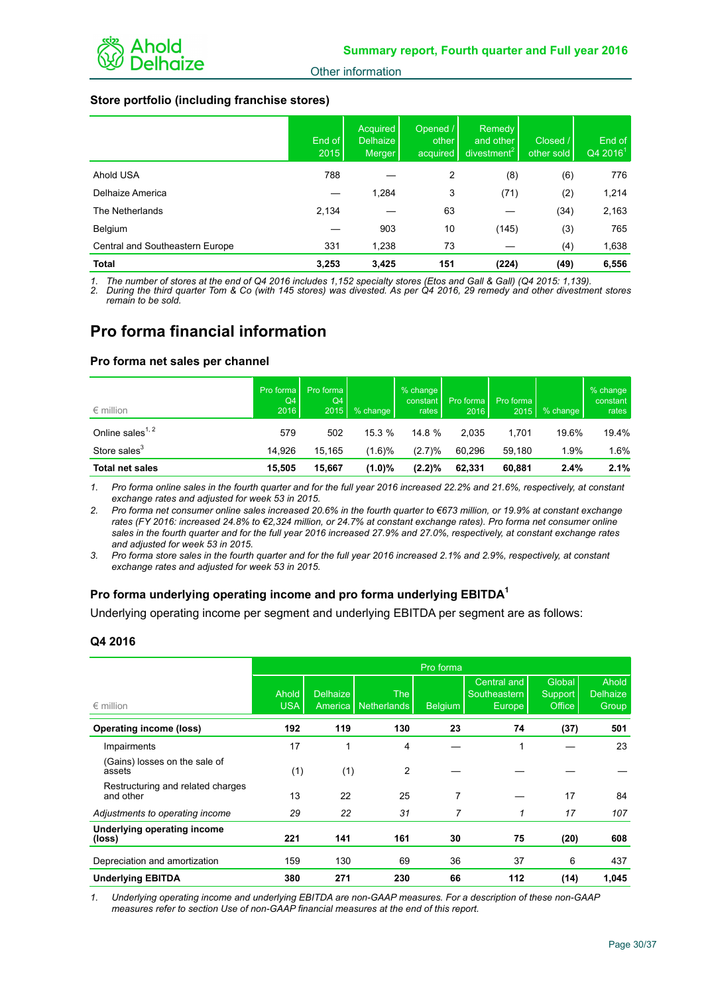## **Store portfolio (including franchise stores)**

|                                 | End of<br>2015 | <b>Acquired</b><br><b>Delhaize</b><br>Merger | Opened /<br>other<br>acquired | Remedy<br>and other<br>divestment <sup>2</sup> | Closed /<br>other sold | End of<br>$Q42016^1$ |
|---------------------------------|----------------|----------------------------------------------|-------------------------------|------------------------------------------------|------------------------|----------------------|
| Ahold USA                       | 788            |                                              | 2                             | (8)                                            | (6)                    | 776                  |
| Delhaize America                |                | 1,284                                        | 3                             | (71)                                           | (2)                    | 1,214                |
| The Netherlands                 | 2,134          |                                              | 63                            |                                                | (34)                   | 2,163                |
| Belgium                         |                | 903                                          | 10                            | (145)                                          | (3)                    | 765                  |
| Central and Southeastern Europe | 331            | 1,238                                        | 73                            |                                                | (4)                    | 1,638                |
| <b>Total</b>                    | 3,253          | 3.425                                        | 151                           | (224)                                          | (49)                   | 6,556                |

*1. The number of stores at the end of Q4 2016 includes 1,152 specialty stores (Etos and Gall & Gall) (Q4 2015: 1,139).* 

*2. During the third quarter Tom & Co (with 145 stores) was divested. As per Q4 2016, 29 remedy and other divestment stores remain to be sold.* 

# **Pro forma financial information**

## **Pro forma net sales per channel**

| $\epsilon$ million           | Pro forma<br>Q4<br>2016 | Pro forma<br>Q4<br>2015 | % change  | $%$ change<br>constant<br>rates | Pro forma<br>2016 | Pro forma<br>2015 | % change | % change<br>constant<br>rates |
|------------------------------|-------------------------|-------------------------|-----------|---------------------------------|-------------------|-------------------|----------|-------------------------------|
| Online sales <sup>1, 2</sup> | 579                     | 502                     | 15.3%     | 14.8 %                          | 2.035             | 1.701             | 19.6%    | 19.4%                         |
| Store sales <sup>3</sup>     | 14.926                  | 15.165                  | $(1.6)\%$ | (2.7)%                          | 60.296            | 59.180            | 1.9%     | $1.6\%$                       |
| <b>Total net sales</b>       | 15.505                  | 15.667                  | $(1.0)\%$ | $(2.2)\%$                       | 62.331            | 60.881            | 2.4%     | 2.1%                          |

*1. Pro forma online sales in the fourth quarter and for the full year 2016 increased 22.2% and 21.6%, respectively, at constant exchange rates and adjusted for week 53 in 2015.* 

*2. Pro forma net consumer online sales increased 20.6% in the fourth quarter to €673 million, or 19.9% at constant exchange rates (FY 2016: increased 24.8% to €2,324 million, or 24.7% at constant exchange rates). Pro forma net consumer online sales in the fourth quarter and for the full year 2016 increased 27.9% and 27.0%, respectively, at constant exchange rates and adjusted for week 53 in 2015.*

*3. Pro forma store sales in the fourth quarter and for the full year 2016 increased 2.1% and 2.9%, respectively, at constant exchange rates and adjusted for week 53 in 2015.*

## **Pro forma underlying operating income and pro forma underlying EBITDA<sup>1</sup>**

Underlying operating income per segment and underlying EBITDA per segment are as follows:

## **Q4 2016**

|                                                | Pro forma           |                     |                           |         |                                                     |                                    |                                   |  |
|------------------------------------------------|---------------------|---------------------|---------------------------|---------|-----------------------------------------------------|------------------------------------|-----------------------------------|--|
| $\epsilon$ million                             | Ahold<br><b>USA</b> | Delhaize<br>America | The<br><b>Netherlands</b> | Belgium | <b>Central and</b><br>Southeastern<br><b>Europe</b> | Global<br><b>Support</b><br>Office | Ahold<br><b>Delhaize</b><br>Group |  |
| <b>Operating income (loss)</b>                 | 192                 | 119                 | 130                       | 23      | 74                                                  | (37)                               | 501                               |  |
| Impairments                                    | 17                  | 1                   | 4                         |         | 1                                                   |                                    | 23                                |  |
| (Gains) losses on the sale of<br>assets        | (1)                 | (1)                 | 2                         |         |                                                     |                                    |                                   |  |
| Restructuring and related charges<br>and other | 13                  | 22                  | 25                        | 7       |                                                     | 17                                 | 84                                |  |
| Adjustments to operating income                | 29                  | 22                  | 31                        |         | 1                                                   | 17                                 | 107                               |  |
| Underlying operating income<br>(loss)          | 221                 | 141                 | 161                       | 30      | 75                                                  | (20)                               | 608                               |  |
| Depreciation and amortization                  | 159                 | 130                 | 69                        | 36      | 37                                                  | 6                                  | 437                               |  |
| <b>Underlying EBITDA</b>                       | 380                 | 271                 | 230                       | 66      | 112                                                 | (14)                               | 1,045                             |  |

*1. Underlying operating income and underlying EBITDA are non-GAAP measures. For a description of these non-GAAP measures refer to section Use of non-GAAP financial measures at the end of this report.*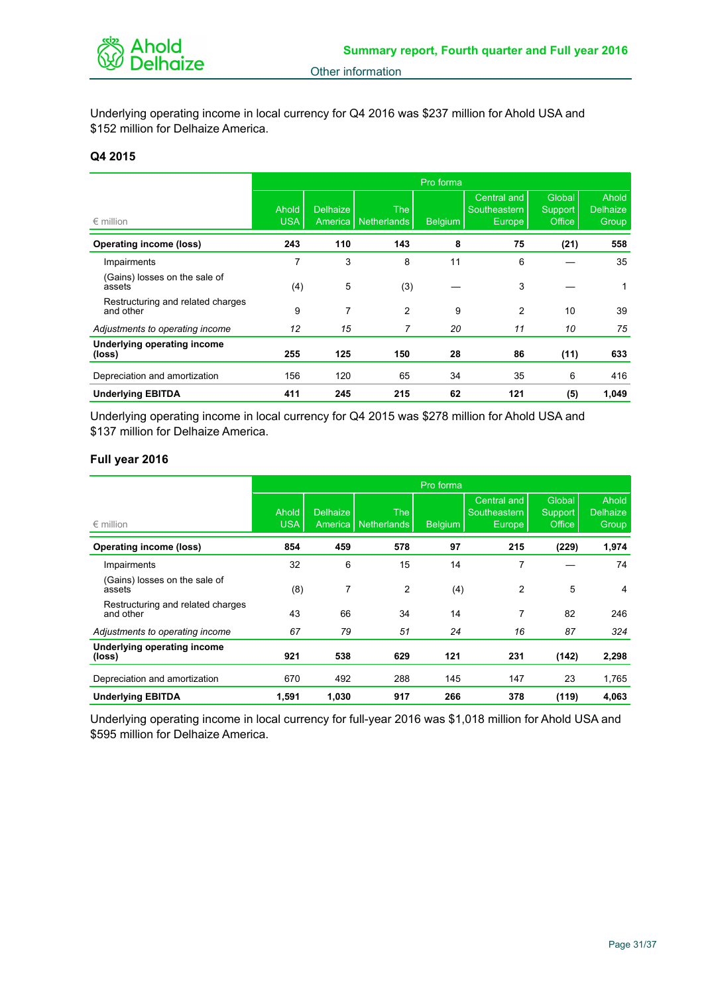

Underlying operating income in local currency for Q4 2016 was \$237 million for Ahold USA and \$152 million for Delhaize America.

## **Q4 2015**

|                                                |                     | Pro forma                  |                           |         |                                                     |                                    |                                   |  |
|------------------------------------------------|---------------------|----------------------------|---------------------------|---------|-----------------------------------------------------|------------------------------------|-----------------------------------|--|
| $\epsilon$ million                             | Ahold<br><b>USA</b> | <b>Delhaize</b><br>America | <b>The</b><br>Netherlands | Belgium | <b>Central and</b><br>Southeastern<br><b>Europe</b> | Global<br>Support<br><b>Office</b> | Ahold<br><b>Delhaize</b><br>Group |  |
| <b>Operating income (loss)</b>                 | 243                 | 110                        | 143                       | 8       | 75                                                  | (21)                               | 558                               |  |
| Impairments                                    | 7                   | 3                          | 8                         | 11      | 6                                                   |                                    | 35                                |  |
| (Gains) losses on the sale of<br>assets        | (4)                 | 5                          | (3)                       |         | 3                                                   |                                    |                                   |  |
| Restructuring and related charges<br>and other | 9                   | 7                          | 2                         | 9       | 2                                                   | 10                                 | 39                                |  |
| Adjustments to operating income                | 12                  | 15                         | 7                         | 20      | 11                                                  | 10                                 | 75                                |  |
| Underlying operating income<br>(loss)          | 255                 | 125                        | 150                       | 28      | 86                                                  | (11)                               | 633                               |  |
| Depreciation and amortization                  | 156                 | 120                        | 65                        | 34      | 35                                                  | 6                                  | 416                               |  |
| <b>Underlying EBITDA</b>                       | 411                 | 245                        | 215                       | 62      | 121                                                 | (5)                                | 1,049                             |  |

Underlying operating income in local currency for Q4 2015 was \$278 million for Ahold USA and \$137 million for Delhaize America.

## **Full year 2016**

|                                                |                     | Pro forma                  |                                  |                |                                                     |                             |                                          |  |
|------------------------------------------------|---------------------|----------------------------|----------------------------------|----------------|-----------------------------------------------------|-----------------------------|------------------------------------------|--|
| $\epsilon$ million                             | Ahold<br><b>USA</b> | <b>Delhaize</b><br>America | <b>The</b><br><b>Netherlands</b> | <b>Belgium</b> | <b>Central and</b><br>Southeastern<br><b>Europe</b> | Global<br>Support<br>Office | Ahold<br><b>Delhaize</b><br><b>Group</b> |  |
| <b>Operating income (loss)</b>                 | 854                 | 459                        | 578                              | 97             | 215                                                 | (229)                       | 1,974                                    |  |
| Impairments                                    | 32                  | 6                          | 15                               | 14             | 7                                                   |                             | 74                                       |  |
| (Gains) losses on the sale of<br>assets        | (8)                 | 7                          | 2                                | (4)            | 2                                                   | 5                           | 4                                        |  |
| Restructuring and related charges<br>and other | 43                  | 66                         | 34                               | 14             | 7                                                   | 82                          | 246                                      |  |
| Adjustments to operating income                | 67                  | 79                         | 51                               | 24             | 16                                                  | 87                          | 324                                      |  |
| Underlying operating income<br>(loss)          | 921                 | 538                        | 629                              | 121            | 231                                                 | (142)                       | 2,298                                    |  |
| Depreciation and amortization                  | 670                 | 492                        | 288                              | 145            | 147                                                 | 23                          | 1,765                                    |  |
| <b>Underlying EBITDA</b>                       | 1,591               | 1,030                      | 917                              | 266            | 378                                                 | (119)                       | 4,063                                    |  |

Underlying operating income in local currency for full-year 2016 was \$1,018 million for Ahold USA and \$595 million for Delhaize America.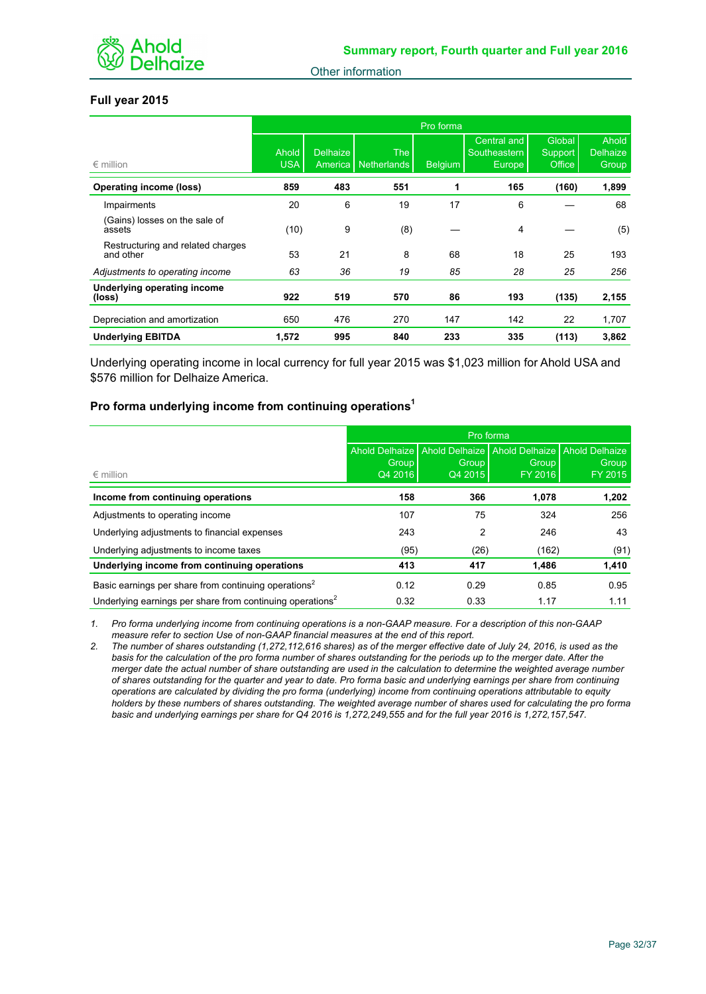

## **Full year 2015**

|                                                | Pro forma           |                 |                              |                |                                              |                             |                                   |
|------------------------------------------------|---------------------|-----------------|------------------------------|----------------|----------------------------------------------|-----------------------------|-----------------------------------|
| $\epsilon$ million                             | Ahold<br><b>USA</b> | <b>Delhaize</b> | The<br>America   Netherlands | <b>Belgium</b> | <b>Central and</b><br>Southeastern<br>Europe | Global<br>Support<br>Office | Ahold<br><b>Delhaize</b><br>Group |
| <b>Operating income (loss)</b>                 | 859                 | 483             | 551                          | 1              | 165                                          | (160)                       | 1,899                             |
| Impairments                                    | 20                  | 6               | 19                           | 17             | 6                                            |                             | 68                                |
| (Gains) losses on the sale of<br>assets        | (10)                | 9               | (8)                          |                | 4                                            |                             | (5)                               |
| Restructuring and related charges<br>and other | 53                  | 21              | 8                            | 68             | 18                                           | 25                          | 193                               |
| Adjustments to operating income                | 63                  | 36              | 19                           | 85             | 28                                           | 25                          | 256                               |
| Underlying operating income<br>(loss)          | 922                 | 519             | 570                          | 86             | 193                                          | (135)                       | 2,155                             |
| Depreciation and amortization                  | 650                 | 476             | 270                          | 147            | 142                                          | 22                          | 1,707                             |
| <b>Underlying EBITDA</b>                       | 1,572               | 995             | 840                          | 233            | 335                                          | (113)                       | 3,862                             |

Underlying operating income in local currency for full year 2015 was \$1,023 million for Ahold USA and \$576 million for Delhaize America.

## **Pro forma underlying income from continuing operations<sup>1</sup>**

|                                                                       | Pro forma        |                  |                                                  |                  |  |  |  |
|-----------------------------------------------------------------------|------------------|------------------|--------------------------------------------------|------------------|--|--|--|
|                                                                       | Ahold Delhaize   |                  | Ahold Delhaize   Ahold Delhaize   Ahold Delhaize |                  |  |  |  |
| $\epsilon$ million                                                    | Group<br>Q4 2016 | Group<br>Q4 2015 | Group<br>FY 2016                                 | Group<br>FY 2015 |  |  |  |
|                                                                       |                  |                  |                                                  |                  |  |  |  |
| Income from continuing operations                                     | 158              | 366              | 1,078                                            | 1,202            |  |  |  |
| Adjustments to operating income                                       | 107              | 75               | 324                                              | 256              |  |  |  |
| Underlying adjustments to financial expenses                          | 243              | 2                | 246                                              | 43               |  |  |  |
| Underlying adjustments to income taxes                                | (95)             | (26)             | (162)                                            | (91)             |  |  |  |
| Underlying income from continuing operations                          | 413              | 417              | 1,486                                            | 1,410            |  |  |  |
| Basic earnings per share from continuing operations <sup>2</sup>      | 0.12             | 0.29             | 0.85                                             | 0.95             |  |  |  |
| Underlying earnings per share from continuing operations <sup>2</sup> | 0.32             | 0.33             | 1.17                                             | 1.11             |  |  |  |

*1. Pro forma underlying income from continuing operations is a non-GAAP measure. For a description of this non-GAAP measure refer to section Use of non-GAAP financial measures at the end of this report.*

*2. The number of shares outstanding (1,272,112,616 shares) as of the merger effective date of July 24, 2016, is used as the basis for the calculation of the pro forma number of shares outstanding for the periods up to the merger date. After the merger date the actual number of share outstanding are used in the calculation to determine the weighted average number of shares outstanding for the quarter and year to date. Pro forma basic and underlying earnings per share from continuing operations are calculated by dividing the pro forma (underlying) income from continuing operations attributable to equity holders by these numbers of shares outstanding. The weighted average number of shares used for calculating the pro forma basic and underlying earnings per share for Q4 2016 is 1,272,249,555 and for the full year 2016 is 1,272,157,547.*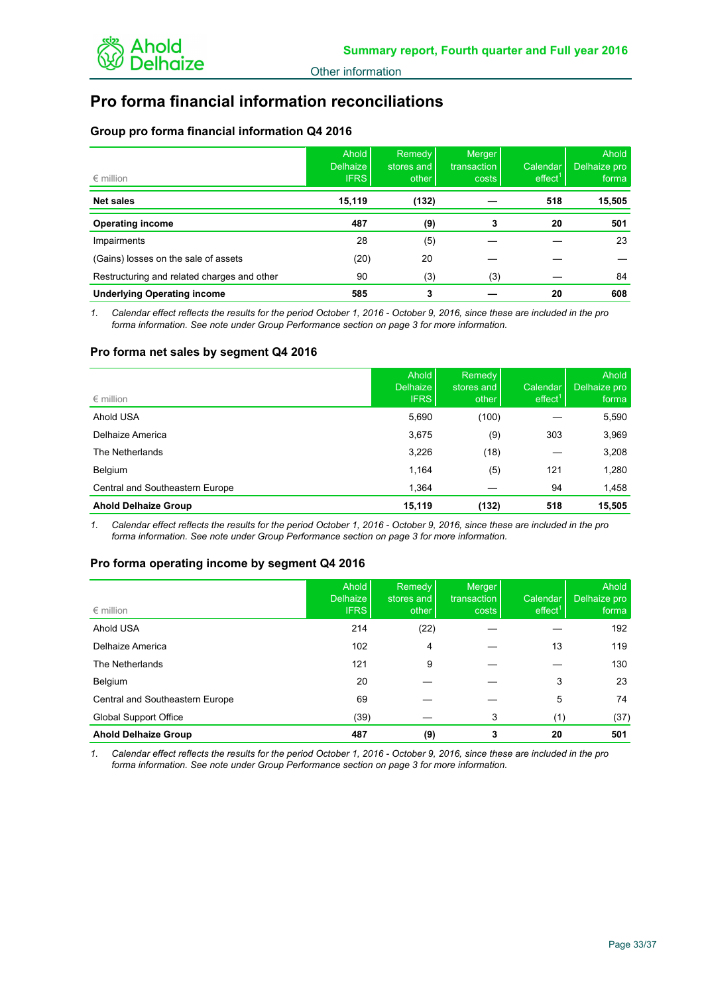

# **Pro forma financial information reconciliations**

## **Group pro forma financial information Q4 2016**

| $\epsilon$ million                          | Ahold<br><b>Delhaize</b><br><b>IFRS</b> | Remedy<br>stores and<br>other | <b>Merger</b><br>transaction<br>costs | Calendar I<br>effect <sup>1</sup> | Ahold<br>Delhaize pro<br>forma |
|---------------------------------------------|-----------------------------------------|-------------------------------|---------------------------------------|-----------------------------------|--------------------------------|
| <b>Net sales</b>                            | 15,119                                  | (132)                         |                                       | 518                               | 15,505                         |
| <b>Operating income</b>                     | 487                                     | (9)                           | 3                                     | 20                                | 501                            |
| Impairments                                 | 28                                      | (5)                           |                                       |                                   | 23                             |
| (Gains) losses on the sale of assets        | (20)                                    | 20                            |                                       |                                   |                                |
| Restructuring and related charges and other | 90                                      | (3)                           | (3)                                   |                                   | 84                             |
| <b>Underlying Operating income</b>          | 585                                     | 3                             |                                       | 20                                | 608                            |

*1. Calendar effect reflects the results for the period October 1, 2016 - October 9, 2016, since these are included in the pro forma information. See note under Group Performance section on page 3 for more information.*

## **Pro forma net sales by segment Q4 2016**

| $\epsilon$ million              | Ahold<br>Delhaize<br><b>IFRS</b> | Remedy<br>stores and<br>other | Calendar I<br>effect <sup>1</sup> | Ahold<br>Delhaize pro<br>forma |
|---------------------------------|----------------------------------|-------------------------------|-----------------------------------|--------------------------------|
| Ahold USA                       | 5,690                            | (100)                         |                                   | 5,590                          |
| Delhaize America                | 3,675                            | (9)                           | 303                               | 3,969                          |
| The Netherlands                 | 3,226                            | (18)                          |                                   | 3,208                          |
| Belgium                         | 1,164                            | (5)                           | 121                               | 1,280                          |
| Central and Southeastern Europe | 1,364                            |                               | 94                                | 1,458                          |
| <b>Ahold Delhaize Group</b>     | 15,119                           | (132)                         | 518                               | 15,505                         |

*1. Calendar effect reflects the results for the period October 1, 2016 - October 9, 2016, since these are included in the pro forma information. See note under Group Performance section on page 3 for more information.*

## **Pro forma operating income by segment Q4 2016**

| $\epsilon$ million              | <b>Ahold</b><br><b>Delhaize</b><br><b>IFRS</b> | <b>Remedy</b><br>stores and<br>other | Merger<br>transaction<br>costs | Calendar<br>effect <sup>1</sup> | Ahold<br>Delhaize pro<br>forma |
|---------------------------------|------------------------------------------------|--------------------------------------|--------------------------------|---------------------------------|--------------------------------|
| Ahold USA                       | 214                                            | (22)                                 |                                |                                 | 192                            |
| Delhaize America                | 102                                            | 4                                    |                                | 13                              | 119                            |
| The Netherlands                 | 121                                            | 9                                    |                                |                                 | 130                            |
| Belgium                         | 20                                             |                                      |                                | 3                               | 23                             |
| Central and Southeastern Europe | 69                                             |                                      |                                | 5                               | 74                             |
| <b>Global Support Office</b>    | (39)                                           |                                      | 3                              | (1)                             | (37)                           |
| <b>Ahold Delhaize Group</b>     | 487                                            | (9)                                  |                                | 20                              | 501                            |

*1. Calendar effect reflects the results for the period October 1, 2016 - October 9, 2016, since these are included in the pro forma information. See note under Group Performance section on page 3 for more information.*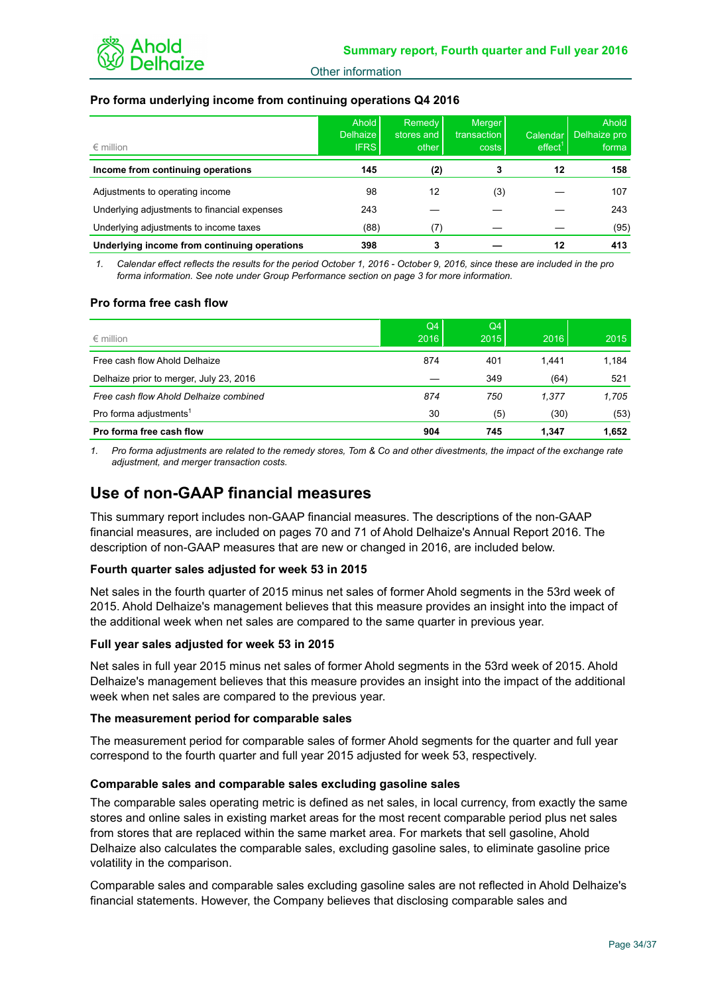

## **Pro forma underlying income from continuing operations Q4 2016**

| $\epsilon$ million                           | Ahold<br>Delhaize<br><b>IFRS</b> | Remedy<br>stores and<br>other | <b>Merger</b><br>transaction<br>costs | Calendar<br>effect <sup>1</sup> | Ahold  <br>Delhaize pro<br>forma |
|----------------------------------------------|----------------------------------|-------------------------------|---------------------------------------|---------------------------------|----------------------------------|
| Income from continuing operations            | 145                              | (2)                           |                                       | 12                              | 158                              |
| Adjustments to operating income              | 98                               | 12                            | (3)                                   |                                 | 107                              |
| Underlying adjustments to financial expenses | 243                              |                               |                                       |                                 | 243                              |
| Underlying adjustments to income taxes       | (88)                             | (7)                           |                                       |                                 | (95)                             |
| Underlying income from continuing operations | 398                              |                               |                                       | 12                              | 413                              |

*1. Calendar effect reflects the results for the period October 1, 2016 - October 9, 2016, since these are included in the pro forma information. See note under Group Performance section on page 3 for more information.*

## **Pro forma free cash flow**

| $\epsilon$ million                      | Q4<br>2016 | Q4<br>2015 | 2016  | 2015  |
|-----------------------------------------|------------|------------|-------|-------|
| Free cash flow Ahold Delhaize           | 874        | 401        | 1.441 | 1.184 |
| Delhaize prior to merger, July 23, 2016 |            | 349        | (64)  | 521   |
| Free cash flow Ahold Delhaize combined  | 874        | 750        | 1.377 | 1.705 |
| Pro forma adjustments <sup>1</sup>      | 30         | (5)        | (30)  | (53)  |
| Pro forma free cash flow                | 904        | 745        | 1.347 | 1,652 |

*1. Pro forma adjustments are related to the remedy stores, Tom & Co and other divestments, the impact of the exchange rate adjustment, and merger transaction costs.* 

## **Use of non-GAAP financial measures**

This summary report includes non-GAAP financial measures. The descriptions of the non-GAAP financial measures, are included on pages 70 and 71 of Ahold Delhaize's Annual Report 2016. The description of non-GAAP measures that are new or changed in 2016, are included below.

## **Fourth quarter sales adjusted for week 53 in 2015**

Net sales in the fourth quarter of 2015 minus net sales of former Ahold segments in the 53rd week of 2015. Ahold Delhaize's management believes that this measure provides an insight into the impact of the additional week when net sales are compared to the same quarter in previous year.

## **Full year sales adjusted for week 53 in 2015**

Net sales in full year 2015 minus net sales of former Ahold segments in the 53rd week of 2015. Ahold Delhaize's management believes that this measure provides an insight into the impact of the additional week when net sales are compared to the previous year.

## **The measurement period for comparable sales**

The measurement period for comparable sales of former Ahold segments for the quarter and full year correspond to the fourth quarter and full year 2015 adjusted for week 53, respectively.

## **Comparable sales and comparable sales excluding gasoline sales**

The comparable sales operating metric is defined as net sales, in local currency, from exactly the same stores and online sales in existing market areas for the most recent comparable period plus net sales from stores that are replaced within the same market area. For markets that sell gasoline, Ahold Delhaize also calculates the comparable sales, excluding gasoline sales, to eliminate gasoline price volatility in the comparison.

Comparable sales and comparable sales excluding gasoline sales are not reflected in Ahold Delhaize's financial statements. However, the Company believes that disclosing comparable sales and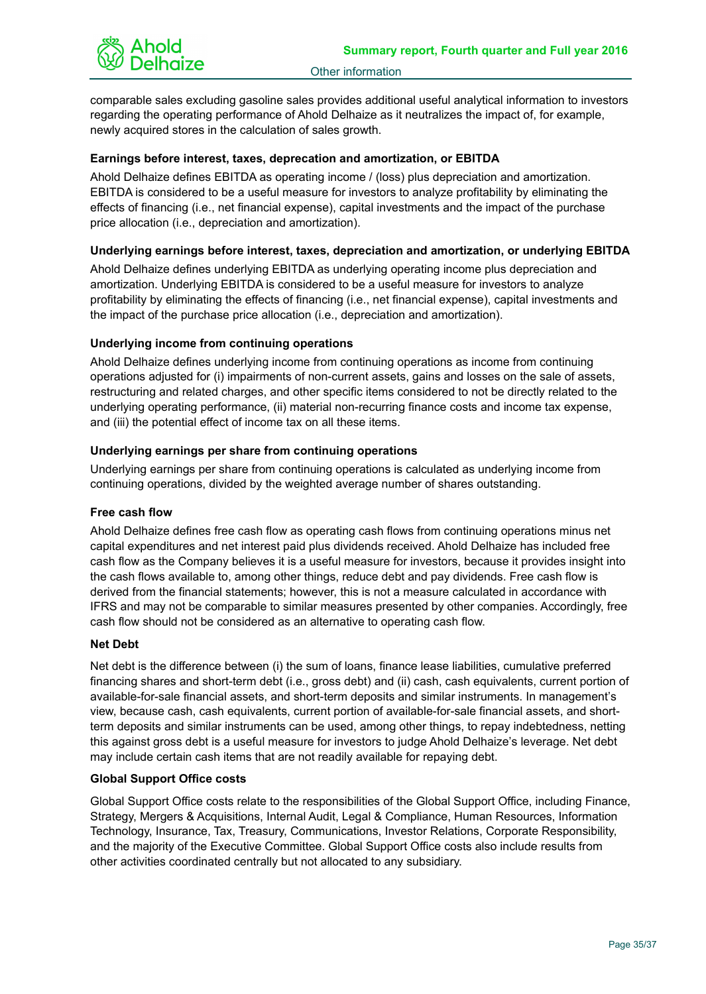

comparable sales excluding gasoline sales provides additional useful analytical information to investors regarding the operating performance of Ahold Delhaize as it neutralizes the impact of, for example, newly acquired stores in the calculation of sales growth.

## **Earnings before interest, taxes, deprecation and amortization, or EBITDA**

Ahold Delhaize defines EBITDA as operating income / (loss) plus depreciation and amortization. EBITDA is considered to be a useful measure for investors to analyze profitability by eliminating the effects of financing (i.e., net financial expense), capital investments and the impact of the purchase price allocation (i.e., depreciation and amortization).

## **Underlying earnings before interest, taxes, depreciation and amortization, or underlying EBITDA**

Ahold Delhaize defines underlying EBITDA as underlying operating income plus depreciation and amortization. Underlying EBITDA is considered to be a useful measure for investors to analyze profitability by eliminating the effects of financing (i.e., net financial expense), capital investments and the impact of the purchase price allocation (i.e., depreciation and amortization).

## **Underlying income from continuing operations**

Ahold Delhaize defines underlying income from continuing operations as income from continuing operations adjusted for (i) impairments of non-current assets, gains and losses on the sale of assets, restructuring and related charges, and other specific items considered to not be directly related to the underlying operating performance, (ii) material non-recurring finance costs and income tax expense, and (iii) the potential effect of income tax on all these items.

## **Underlying earnings per share from continuing operations**

Underlying earnings per share from continuing operations is calculated as underlying income from continuing operations, divided by the weighted average number of shares outstanding.

## **Free cash flow**

Ahold Delhaize defines free cash flow as operating cash flows from continuing operations minus net capital expenditures and net interest paid plus dividends received. Ahold Delhaize has included free cash flow as the Company believes it is a useful measure for investors, because it provides insight into the cash flows available to, among other things, reduce debt and pay dividends. Free cash flow is derived from the financial statements; however, this is not a measure calculated in accordance with IFRS and may not be comparable to similar measures presented by other companies. Accordingly, free cash flow should not be considered as an alternative to operating cash flow.

## **Net Debt**

Net debt is the difference between (i) the sum of loans, finance lease liabilities, cumulative preferred financing shares and short-term debt (i.e., gross debt) and (ii) cash, cash equivalents, current portion of available-for-sale financial assets, and short-term deposits and similar instruments. In management's view, because cash, cash equivalents, current portion of available-for-sale financial assets, and shortterm deposits and similar instruments can be used, among other things, to repay indebtedness, netting this against gross debt is a useful measure for investors to judge Ahold Delhaize's leverage. Net debt may include certain cash items that are not readily available for repaying debt.

## **Global Support Office costs**

Global Support Office costs relate to the responsibilities of the Global Support Office, including Finance, Strategy, Mergers & Acquisitions, Internal Audit, Legal & Compliance, Human Resources, Information Technology, Insurance, Tax, Treasury, Communications, Investor Relations, Corporate Responsibility, and the majority of the Executive Committee. Global Support Office costs also include results from other activities coordinated centrally but not allocated to any subsidiary.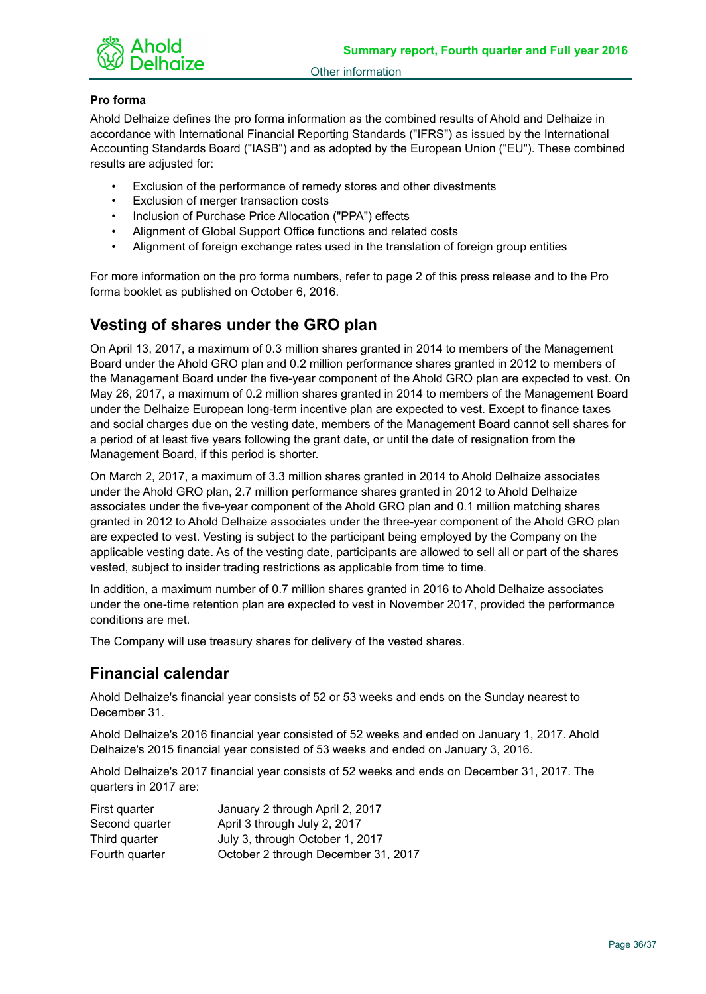

## **Pro forma**

Ahold Delhaize defines the pro forma information as the combined results of Ahold and Delhaize in accordance with International Financial Reporting Standards ("IFRS") as issued by the International Accounting Standards Board ("IASB") and as adopted by the European Union ("EU"). These combined results are adjusted for:

- Exclusion of the performance of remedy stores and other divestments
- Exclusion of merger transaction costs
- Inclusion of Purchase Price Allocation ("PPA") effects
- Alignment of Global Support Office functions and related costs
- Alignment of foreign exchange rates used in the translation of foreign group entities

For more information on the pro forma numbers, refer to page 2 of this press release and to the Pro forma booklet as published on October 6, 2016.

# **Vesting of shares under the GRO plan**

On April 13, 2017, a maximum of 0.3 million shares granted in 2014 to members of the Management Board under the Ahold GRO plan and 0.2 million performance shares granted in 2012 to members of the Management Board under the five-year component of the Ahold GRO plan are expected to vest. On May 26, 2017, a maximum of 0.2 million shares granted in 2014 to members of the Management Board under the Delhaize European long-term incentive plan are expected to vest. Except to finance taxes and social charges due on the vesting date, members of the Management Board cannot sell shares for a period of at least five years following the grant date, or until the date of resignation from the Management Board, if this period is shorter.

On March 2, 2017, a maximum of 3.3 million shares granted in 2014 to Ahold Delhaize associates under the Ahold GRO plan, 2.7 million performance shares granted in 2012 to Ahold Delhaize associates under the five-year component of the Ahold GRO plan and 0.1 million matching shares granted in 2012 to Ahold Delhaize associates under the three-year component of the Ahold GRO plan are expected to vest. Vesting is subject to the participant being employed by the Company on the applicable vesting date. As of the vesting date, participants are allowed to sell all or part of the shares vested, subject to insider trading restrictions as applicable from time to time.

In addition, a maximum number of 0.7 million shares granted in 2016 to Ahold Delhaize associates under the one-time retention plan are expected to vest in November 2017, provided the performance conditions are met.

The Company will use treasury shares for delivery of the vested shares.

# **Financial calendar**

Ahold Delhaize's financial year consists of 52 or 53 weeks and ends on the Sunday nearest to December 31.

Ahold Delhaize's 2016 financial year consisted of 52 weeks and ended on January 1, 2017. Ahold Delhaize's 2015 financial year consisted of 53 weeks and ended on January 3, 2016.

Ahold Delhaize's 2017 financial year consists of 52 weeks and ends on December 31, 2017. The quarters in 2017 are:

| First quarter  | January 2 through April 2, 2017     |
|----------------|-------------------------------------|
| Second quarter | April 3 through July 2, 2017        |
| Third quarter  | July 3, through October 1, 2017     |
| Fourth quarter | October 2 through December 31, 2017 |